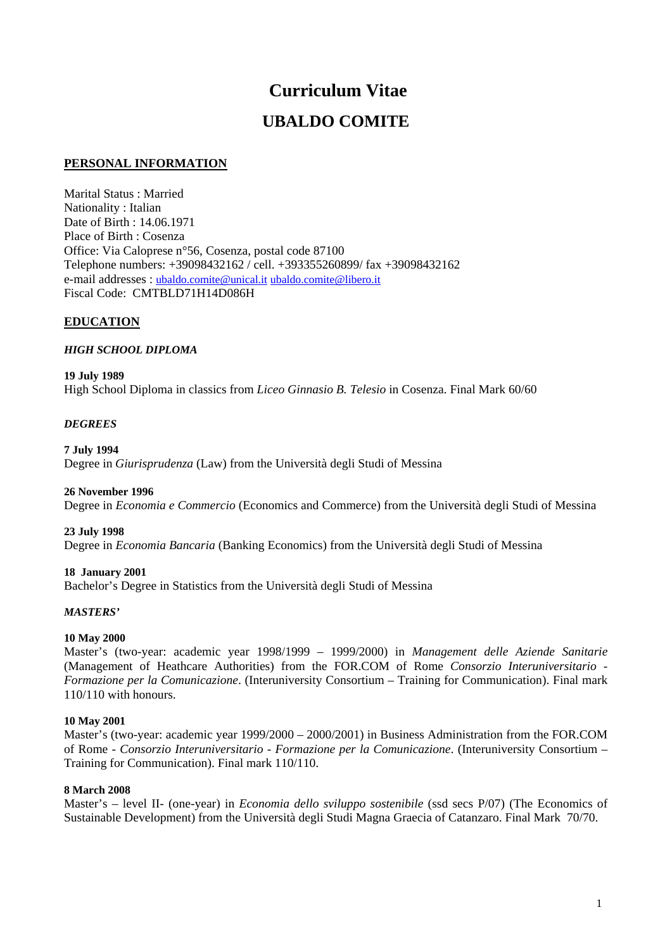# **Curriculum Vitae UBALDO COMITE**

# **PERSONAL INFORMATION**

Marital Status : Married Nationality : Italian Date of Birth : 14.06.1971 Place of Birth : Cosenza Office: Via Caloprese n°56, Cosenza, postal code 87100 Telephone numbers: +39098432162 / cell. +393355260899/ fax +39098432162 e-mail addresses : ubaldo.comite@unical.it ubaldo.comite@libero.it Fiscal Code: CMTBLD71H14D086H

# **EDUCATION**

# *HIGH SCHOOL DIPLOMA*

### **19 July 1989**

High School Diploma in classics from *Liceo Ginnasio B. Telesio* in Cosenza. Final Mark 60/60

# *DEGREES*

# **7 July 1994**

Degree in *Giurisprudenza* (Law) from the Università degli Studi of Messina

# **26 November 1996**

Degree in *Economia e Commercio* (Economics and Commerce) from the Università degli Studi of Messina

#### **23 July 1998**

Degree in *Economia Bancaria* (Banking Economics) from the Università degli Studi of Messina

# **18 January 2001**

Bachelor's Degree in Statistics from the Università degli Studi of Messina

# *MASTERS'*

# **10 May 2000**

Master's (two-year: academic year 1998/1999 – 1999/2000) in *Management delle Aziende Sanitarie* (Management of Heathcare Authorities) from the FOR.COM of Rome *Consorzio Interuniversitario - Formazione per la Comunicazione*. (Interuniversity Consortium – Training for Communication). Final mark 110/110 with honours.

# **10 May 2001**

Master's (two-year: academic year 1999/2000 – 2000/2001) in Business Administration from the FOR.COM of Rome - *Consorzio Interuniversitario - Formazione per la Comunicazione*. (Interuniversity Consortium – Training for Communication). Final mark 110/110.

#### **8 March 2008**

Master's – level II- (one-year) in *Economia dello sviluppo sostenibile* (ssd secs P/07) (The Economics of Sustainable Development) from the Università degli Studi Magna Graecia of Catanzaro. Final Mark 70/70.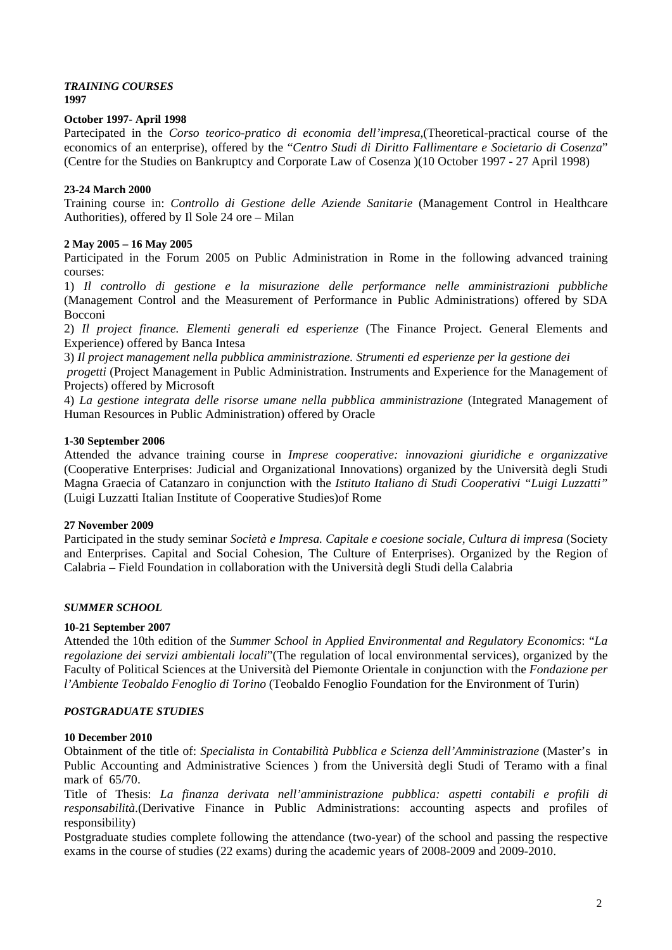#### *TRAINING COURSES*  **1997**

# **October 1997- April 1998**

Partecipated in the *Corso teorico-pratico di economia dell'impresa*,(Theoretical-practical course of the economics of an enterprise), offered by the "*Centro Studi di Diritto Fallimentare e Societario di Cosenza*" (Centre for the Studies on Bankruptcy and Corporate Law of Cosenza )(10 October 1997 - 27 April 1998)

# **23-24 March 2000**

Training course in: *Controllo di Gestione delle Aziende Sanitarie* (Management Control in Healthcare Authorities), offered by Il Sole 24 ore – Milan

# **2 May 2005 – 16 May 2005**

Participated in the Forum 2005 on Public Administration in Rome in the following advanced training courses:

1) *Il controllo di gestione e la misurazione delle performance nelle amministrazioni pubbliche*  (Management Control and the Measurement of Performance in Public Administrations) offered by SDA Bocconi

2) *Il project finance. Elementi generali ed esperienze* (The Finance Project. General Elements and Experience) offered by Banca Intesa

3) *Il project management nella pubblica amministrazione. Strumenti ed esperienze per la gestione dei* 

 *progetti* (Project Management in Public Administration. Instruments and Experience for the Management of Projects) offered by Microsoft

4) *La gestione integrata delle risorse umane nella pubblica amministrazione* (Integrated Management of Human Resources in Public Administration) offered by Oracle

# **1-30 September 2006**

Attended the advance training course in *Imprese cooperative: innovazioni giuridiche e organizzative* (Cooperative Enterprises: Judicial and Organizational Innovations) organized by the Università degli Studi Magna Graecia of Catanzaro in conjunction with the *Istituto Italiano di Studi Cooperativi "Luigi Luzzatti"* (Luigi Luzzatti Italian Institute of Cooperative Studies)of Rome

# **27 November 2009**

Participated in the study seminar *Società e Impresa. Capitale e coesione sociale, Cultura di impresa* (Society and Enterprises. Capital and Social Cohesion, The Culture of Enterprises). Organized by the Region of Calabria – Field Foundation in collaboration with the Università degli Studi della Calabria

# *SUMMER SCHOOL*

# **10-21 September 2007**

Attended the 10th edition of the *Summer School in Applied Environmental and Regulatory Economics*: "*La regolazione dei servizi ambientali locali*"(The regulation of local environmental services), organized by the Faculty of Political Sciences at the Università del Piemonte Orientale in conjunction with the *Fondazione per l'Ambiente Teobaldo Fenoglio di Torino* (Teobaldo Fenoglio Foundation for the Environment of Turin)

# *POSTGRADUATE STUDIES*

# **10 December 2010**

Obtainment of the title of: *Specialista in Contabilità Pubblica e Scienza dell'Amministrazione* (Master's in Public Accounting and Administrative Sciences ) from the Università degli Studi of Teramo with a final mark of 65/70.

Title of Thesis: *La finanza derivata nell'amministrazione pubblica: aspetti contabili e profili di responsabilità*.(Derivative Finance in Public Administrations: accounting aspects and profiles of responsibility)

Postgraduate studies complete following the attendance (two-year) of the school and passing the respective exams in the course of studies (22 exams) during the academic years of 2008-2009 and 2009-2010.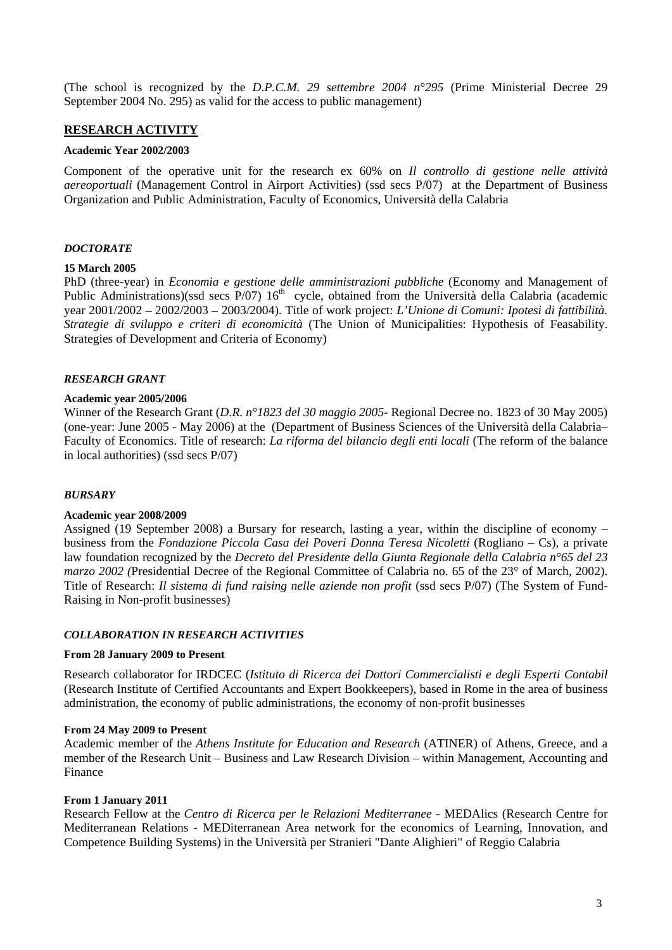(The school is recognized by the *D.P.C.M. 29 settembre 2004 n°295* (Prime Ministerial Decree 29 September 2004 No. 295) as valid for the access to public management)

# **RESEARCH ACTIVITY**

#### **Academic Year 2002/2003**

Component of the operative unit for the research ex 60% on *Il controllo di gestione nelle attività aereoportuali* (Management Control in Airport Activities) (ssd secs P/07) at the Department of Business Organization and Public Administration, Faculty of Economics, Università della Calabria

#### *DOCTORATE*

#### **15 March 2005**

PhD (three-year) in *Economia e gestione delle amministrazioni pubbliche* (Economy and Management of Public Administrations)(ssd secs P/07) 16<sup>th</sup> cycle, obtained from the Università della Calabria (academic year 2001/2002 – 2002/2003 – 2003/2004). Title of work project: *L'Unione di Comuni: Ipotesi di fattibilità. Strategie di sviluppo e criteri di economicità* (The Union of Municipalities: Hypothesis of Feasability. Strategies of Development and Criteria of Economy)

### *RESEARCH GRANT*

#### **Academic year 2005/2006**

Winner of the Research Grant (*D.R. n°1823 del 30 maggio 2005*- Regional Decree no. 1823 of 30 May 2005) (one-year: June 2005 - May 2006) at the (Department of Business Sciences of the Università della Calabria– Faculty of Economics. Title of research: *La riforma del bilancio degli enti locali* (The reform of the balance in local authorities) (ssd secs P/07)

#### *BURSARY*

#### **Academic year 2008/2009**

Assigned (19 September 2008) a Bursary for research, lasting a year, within the discipline of economy – business from the *Fondazione Piccola Casa dei Poveri Donna Teresa Nicoletti* (Rogliano – Cs), a private law foundation recognized by the *Decreto del Presidente della Giunta Regionale della Calabria n°65 del 23 marzo 2002 (*Presidential Decree of the Regional Committee of Calabria no. 65 of the 23° of March, 2002). Title of Research: *Il sistema di fund raising nelle aziende non profit* (ssd secs P/07) (The System of Fund-Raising in Non-profit businesses)

### *COLLABORATION IN RESEARCH ACTIVITIES*

#### **From 28 January 2009 to Present**

Research collaborator for IRDCEC (*Istituto di Ricerca dei Dottori Commercialisti e degli Esperti Contabil*  (Research Institute of Certified Accountants and Expert Bookkeepers), based in Rome in the area of business administration, the economy of public administrations, the economy of non-profit businesses

#### **From 24 May 2009 to Present**

Academic member of the *Athens Institute for Education and Research* (ATINER) of Athens, Greece, and a member of the Research Unit – Business and Law Research Division – within Management, Accounting and Finance

#### **From 1 January 2011**

Research Fellow at the *Centro di Ricerca per le Relazioni Mediterranee* - MEDAlics (Research Centre for Mediterranean Relations - MEDiterranean Area network for the economics of Learning, Innovation, and Competence Building Systems) in the Università per Stranieri "Dante Alighieri" of Reggio Calabria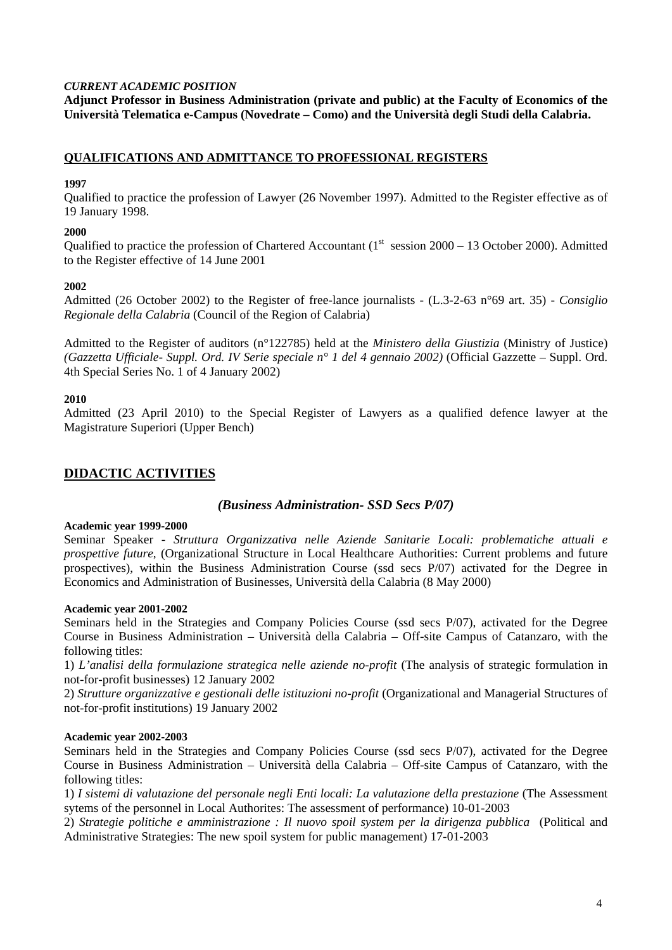# *CURRENT ACADEMIC POSITION*

**Adjunct Professor in Business Administration (private and public) at the Faculty of Economics of the Università Telematica e-Campus (Novedrate – Como) and the Università degli Studi della Calabria.** 

# **QUALIFICATIONS AND ADMITTANCE TO PROFESSIONAL REGISTERS**

### **1997**

Qualified to practice the profession of Lawyer (26 November 1997). Admitted to the Register effective as of 19 January 1998.

# **2000**

Qualified to practice the profession of Chartered Accountant  $(1<sup>st</sup> session 2000 – 13 October 2000)$ . Admitted to the Register effective of 14 June 2001

### **2002**

Admitted (26 October 2002) to the Register of free-lance journalists - (L.3-2-63 n°69 art. 35) - *Consiglio Regionale della Calabria* (Council of the Region of Calabria)

Admitted to the Register of auditors (n°122785) held at the *Ministero della Giustizia* (Ministry of Justice) *(Gazzetta Ufficiale- Suppl. Ord. IV Serie speciale n° 1 del 4 gennaio 2002)* (Official Gazzette – Suppl. Ord. 4th Special Series No. 1 of 4 January 2002)

### **2010**

Admitted (23 April 2010) to the Special Register of Lawyers as a qualified defence lawyer at the Magistrature Superiori (Upper Bench)

# **DIDACTIC ACTIVITIES**

# *(Business Administration- SSD Secs P/07)*

#### **Academic year 1999-2000**

Seminar Speaker - *Struttura Organizzativa nelle Aziende Sanitarie Locali: problematiche attuali e prospettive future*, (Organizational Structure in Local Healthcare Authorities: Current problems and future prospectives), within the Business Administration Course (ssd secs P/07) activated for the Degree in Economics and Administration of Businesses, Università della Calabria (8 May 2000)

#### **Academic year 2001-2002**

Seminars held in the Strategies and Company Policies Course (ssd secs P/07), activated for the Degree Course in Business Administration – Università della Calabria – Off-site Campus of Catanzaro, with the following titles:

1) *L'analisi della formulazione strategica nelle aziende no-profit* (The analysis of strategic formulation in not-for-profit businesses) 12 January 2002

2) *Strutture organizzative e gestionali delle istituzioni no-profit* (Organizational and Managerial Structures of not-for-profit institutions) 19 January 2002

# **Academic year 2002-2003**

Seminars held in the Strategies and Company Policies Course (ssd secs P/07), activated for the Degree Course in Business Administration – Università della Calabria – Off-site Campus of Catanzaro, with the following titles:

1) *I sistemi di valutazione del personale negli Enti locali: La valutazione della prestazione* (The Assessment sytems of the personnel in Local Authorites: The assessment of performance) 10-01-2003

2) *Strategie politiche e amministrazione : Il nuovo spoil system per la dirigenza pubblica* (Political and Administrative Strategies: The new spoil system for public management) 17-01-2003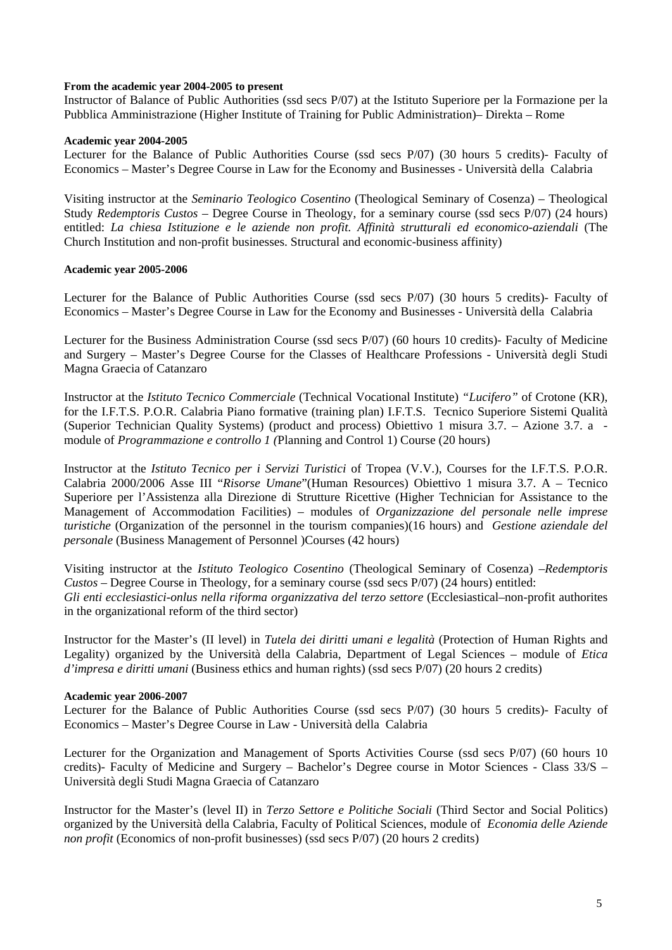### **From the academic year 2004-2005 to present**

Instructor of Balance of Public Authorities (ssd secs P/07) at the Istituto Superiore per la Formazione per la Pubblica Amministrazione (Higher Institute of Training for Public Administration)– Direkta – Rome

#### **Academic year 2004-2005**

Lecturer for the Balance of Public Authorities Course (ssd secs P/07) (30 hours 5 credits)- Faculty of Economics – Master's Degree Course in Law for the Economy and Businesses - Università della Calabria

Visiting instructor at the *Seminario Teologico Cosentino* (Theological Seminary of Cosenza) – Theological Study *Redemptoris Custos* – Degree Course in Theology, for a seminary course (ssd secs P/07) (24 hours) entitled: *La chiesa Istituzione e le aziende non profit. Affinità strutturali ed economico-aziendali* (The Church Institution and non-profit businesses. Structural and economic-business affinity)

### **Academic year 2005-2006**

Lecturer for the Balance of Public Authorities Course (ssd secs P/07) (30 hours 5 credits)- Faculty of Economics – Master's Degree Course in Law for the Economy and Businesses - Università della Calabria

Lecturer for the Business Administration Course (ssd secs P/07) (60 hours 10 credits)- Faculty of Medicine and Surgery – Master's Degree Course for the Classes of Healthcare Professions - Università degli Studi Magna Graecia of Catanzaro

Instructor at the *Istituto Tecnico Commerciale* (Technical Vocational Institute) *"Lucifero"* of Crotone (KR), for the I.F.T.S. P.O.R. Calabria Piano formative (training plan) I.F.T.S. Tecnico Superiore Sistemi Qualità (Superior Technician Quality Systems) (product and process) Obiettivo 1 misura 3.7. – Azione 3.7. a module of *Programmazione e controllo 1 (*Planning and Control 1) Course (20 hours)

Instructor at the *Istituto Tecnico per i Servizi Turistici* of Tropea (V.V.), Courses for the I.F.T.S. P.O.R. Calabria 2000/2006 Asse III "*Risorse Umane*"(Human Resources) Obiettivo 1 misura 3.7. A – Tecnico Superiore per l'Assistenza alla Direzione di Strutture Ricettive (Higher Technician for Assistance to the Management of Accommodation Facilities) – modules of *Organizzazione del personale nelle imprese turistiche* (Organization of the personnel in the tourism companies)(16 hours) and *Gestione aziendale del personale* (Business Management of Personnel )Courses (42 hours)

Visiting instructor at the *Istituto Teologico Cosentino* (Theological Seminary of Cosenza) –*Redemptoris Custos* – Degree Course in Theology, for a seminary course (ssd secs P/07) (24 hours) entitled: *Gli enti ecclesiastici-onlus nella riforma organizzativa del terzo settore* (Ecclesiastical–non-profit authorites in the organizational reform of the third sector)

Instructor for the Master's (II level) in *Tutela dei diritti umani e legalità* (Protection of Human Rights and Legality) organized by the Università della Calabria, Department of Legal Sciences – module of *Etica d'impresa e diritti umani* (Business ethics and human rights) (ssd secs P/07) (20 hours 2 credits)

#### **Academic year 2006-2007**

Lecturer for the Balance of Public Authorities Course (ssd secs P/07) (30 hours 5 credits)- Faculty of Economics – Master's Degree Course in Law - Università della Calabria

Lecturer for the Organization and Management of Sports Activities Course (ssd secs P/07) (60 hours 10 credits)- Faculty of Medicine and Surgery – Bachelor's Degree course in Motor Sciences - Class 33/S – Università degli Studi Magna Graecia of Catanzaro

Instructor for the Master's (level II) in *Terzo Settore e Politiche Sociali* (Third Sector and Social Politics) organized by the Università della Calabria, Faculty of Political Sciences, module of *Economia delle Aziende non profit* (Economics of non-profit businesses) (ssd secs P/07) (20 hours 2 credits)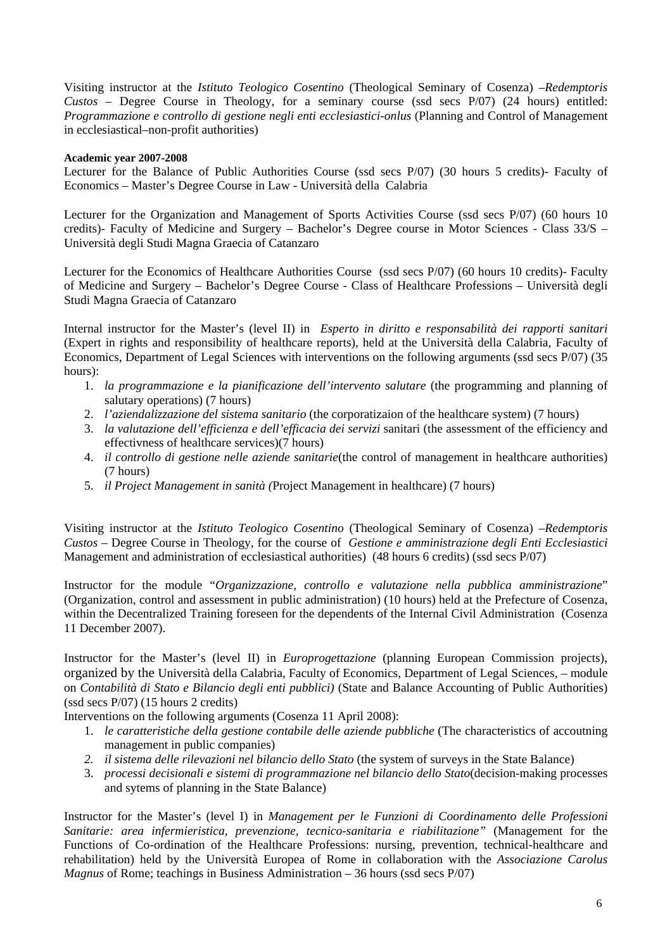Visiting instructor at the *Istituto Teologico Cosentino* (Theological Seminary of Cosenza) –*Redemptoris Custos* – Degree Course in Theology, for a seminary course (ssd secs P/07) (24 hours) entitled: *Programmazione e controllo di gestione negli enti ecclesiastici-onlus* (Planning and Control of Management in ecclesiastical–non-profit authorities)

### **Academic year 2007-2008**

Lecturer for the Balance of Public Authorities Course (ssd secs P/07) (30 hours 5 credits)- Faculty of Economics – Master's Degree Course in Law - Università della Calabria

Lecturer for the Organization and Management of Sports Activities Course (ssd secs P/07) (60 hours 10 credits)- Faculty of Medicine and Surgery – Bachelor's Degree course in Motor Sciences - Class 33/S – Università degli Studi Magna Graecia of Catanzaro

Lecturer for the Economics of Healthcare Authorities Course (ssd secs P/07) (60 hours 10 credits)- Faculty of Medicine and Surgery – Bachelor's Degree Course - Class of Healthcare Professions – Università degli Studi Magna Graecia of Catanzaro

Internal instructor for the Master's (level II) in *Esperto in diritto e responsabilità dei rapporti sanitari*  (Expert in rights and responsibility of healthcare reports), held at the Università della Calabria, Faculty of Economics, Department of Legal Sciences with interventions on the following arguments (ssd secs P/07) (35 hours):

- 1. *la programmazione e la pianificazione dell'intervento salutare* (the programming and planning of salutary operations) (7 hours)
- 2. *l'aziendalizzazione del sistema sanitario* (the corporatizaion of the healthcare system) (7 hours)
- 3. *la valutazione dell'efficienza e dell'efficacia dei servizi* sanitari (the assessment of the efficiency and effectivness of healthcare services)(7 hours)
- 4. *il controllo di gestione nelle aziende sanitarie*(the control of management in healthcare authorities) (7 hours)
- 5. *il Project Management in sanità (*Project Management in healthcare) (7 hours)

Visiting instructor at the *Istituto Teologico Cosentino* (Theological Seminary of Cosenza) –*Redemptoris Custos* – Degree Course in Theology, for the course of *Gestione e amministrazione degli Enti Ecclesiastici* Management and administration of ecclesiastical authorities) (48 hours 6 credits) (ssd secs P/07)

Instructor for the module "*Organizzazione, controllo e valutazione nella pubblica amministrazione*" (Organization, control and assessment in public administration) (10 hours) held at the Prefecture of Cosenza, within the Decentralized Training foreseen for the dependents of the Internal Civil Administration (Cosenza 11 December 2007).

Instructor for the Master's (level II) in *Europrogettazione* (planning European Commission projects), organized by the Università della Calabria, Faculty of Economics, Department of Legal Sciences, – module on *Contabilità di Stato e Bilancio degli enti pubblici)* (State and Balance Accounting of Public Authorities) (ssd secs P/07) (15 hours 2 credits)

Interventions on the following arguments (Cosenza 11 April 2008):

- 1. *le caratteristiche della gestione contabile delle aziende pubbliche* (The characteristics of accoutning management in public companies)
- 2. *il sistema delle rilevazioni nel bilancio dello Stato* (the system of surveys in the State Balance)
- 3. *processi decisionali e sistemi di programmazione nel bilancio dello Stato*(decision-making processes and sytems of planning in the State Balance)

Instructor for the Master's (level I) in *Management per le Funzioni di Coordinamento delle Professioni Sanitarie: area infermieristica, prevenzione, tecnico-sanitaria e riabilitazione"* (Management for the Functions of Co-ordination of the Healthcare Professions: nursing, prevention, technical-healthcare and rehabilitation) held by the Università Europea of Rome in collaboration with the *Associazione Carolus Magnus* of Rome; teachings in Business Administration – 36 hours (ssd secs P/07)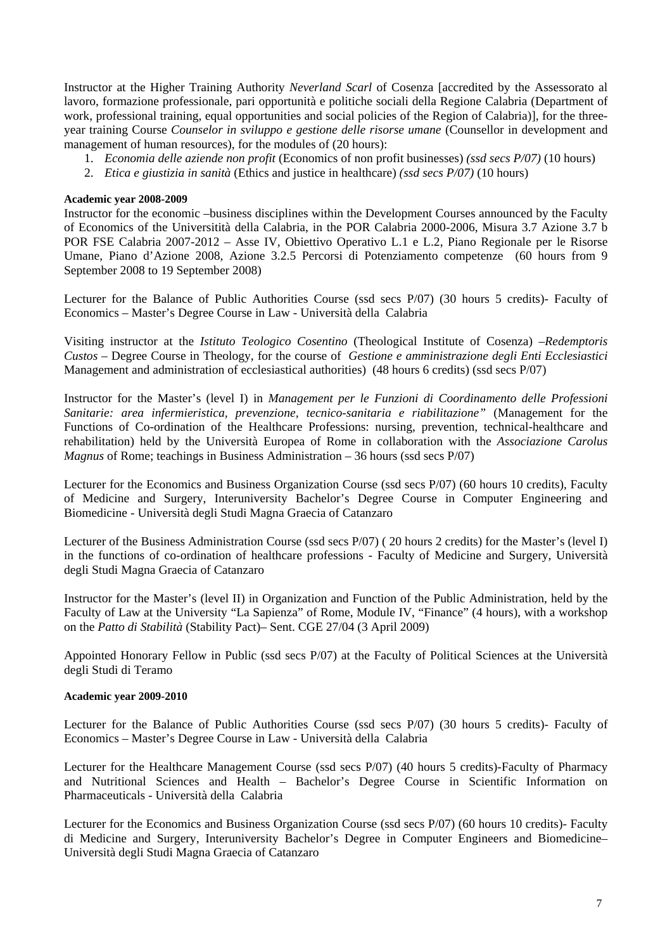Instructor at the Higher Training Authority *Neverland Scarl* of Cosenza [accredited by the Assessorato al lavoro, formazione professionale, pari opportunità e politiche sociali della Regione Calabria (Department of work, professional training, equal opportunities and social policies of the Region of Calabria)], for the threeyear training Course *Counselor in sviluppo e gestione delle risorse umane* (Counsellor in development and management of human resources), for the modules of (20 hours):

- 1. *Economia delle aziende non profit* (Economics of non profit businesses) *(ssd secs P/07)* (10 hours)
- 2. *Etica e giustizia in sanità* (Ethics and justice in healthcare) *(ssd secs P/07)* (10 hours)

### **Academic year 2008-2009**

Instructor for the economic –business disciplines within the Development Courses announced by the Faculty of Economics of the Universitità della Calabria, in the POR Calabria 2000-2006, Misura 3.7 Azione 3.7 b POR FSE Calabria 2007-2012 – Asse IV, Obiettivo Operativo L.1 e L.2, Piano Regionale per le Risorse Umane, Piano d'Azione 2008, Azione 3.2.5 Percorsi di Potenziamento competenze (60 hours from 9 September 2008 to 19 September 2008)

Lecturer for the Balance of Public Authorities Course (ssd secs P/07) (30 hours 5 credits)- Faculty of Economics – Master's Degree Course in Law - Università della Calabria

Visiting instructor at the *Istituto Teologico Cosentino* (Theological Institute of Cosenza) –*Redemptoris Custos* – Degree Course in Theology, for the course of *Gestione e amministrazione degli Enti Ecclesiastici* Management and administration of ecclesiastical authorities) (48 hours 6 credits) (ssd secs P/07)

Instructor for the Master's (level I) in *Management per le Funzioni di Coordinamento delle Professioni Sanitarie: area infermieristica, prevenzione, tecnico-sanitaria e riabilitazione"* (Management for the Functions of Co-ordination of the Healthcare Professions: nursing, prevention, technical-healthcare and rehabilitation) held by the Università Europea of Rome in collaboration with the *Associazione Carolus Magnus* of Rome; teachings in Business Administration – 36 hours (ssd secs P/07)

Lecturer for the Economics and Business Organization Course (ssd secs P/07) (60 hours 10 credits), Faculty of Medicine and Surgery, Interuniversity Bachelor's Degree Course in Computer Engineering and Biomedicine - Università degli Studi Magna Graecia of Catanzaro

Lecturer of the Business Administration Course (ssd secs P/07) ( 20 hours 2 credits) for the Master's (level I) in the functions of co-ordination of healthcare professions - Faculty of Medicine and Surgery, Università degli Studi Magna Graecia of Catanzaro

Instructor for the Master's (level II) in Organization and Function of the Public Administration, held by the Faculty of Law at the University "La Sapienza" of Rome, Module IV, "Finance" (4 hours), with a workshop on the *Patto di Stabilità* (Stability Pact)– Sent. CGE 27/04 (3 April 2009)

Appointed Honorary Fellow in Public (ssd secs P/07) at the Faculty of Political Sciences at the Università degli Studi di Teramo

#### **Academic year 2009-2010**

Lecturer for the Balance of Public Authorities Course (ssd secs P/07) (30 hours 5 credits)- Faculty of Economics – Master's Degree Course in Law - Università della Calabria

Lecturer for the Healthcare Management Course (ssd secs P/07) (40 hours 5 credits)-Faculty of Pharmacy and Nutritional Sciences and Health – Bachelor's Degree Course in Scientific Information on Pharmaceuticals - Università della Calabria

Lecturer for the Economics and Business Organization Course (ssd secs P/07) (60 hours 10 credits)- Faculty di Medicine and Surgery, Interuniversity Bachelor's Degree in Computer Engineers and Biomedicine– Università degli Studi Magna Graecia of Catanzaro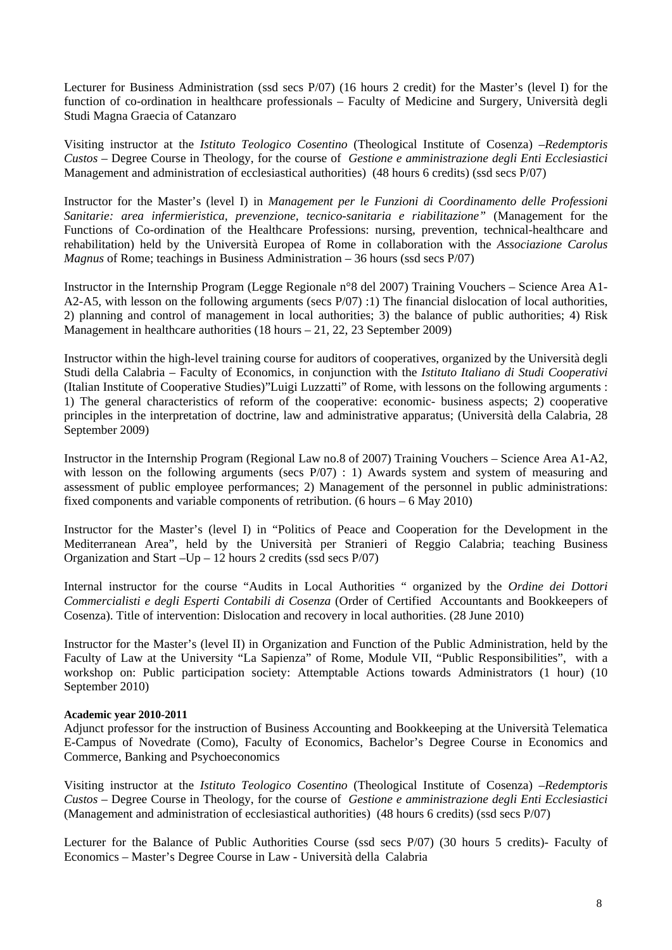Lecturer for Business Administration (ssd secs P/07) (16 hours 2 credit) for the Master's (level I) for the function of co-ordination in healthcare professionals – Faculty of Medicine and Surgery, Università degli Studi Magna Graecia of Catanzaro

Visiting instructor at the *Istituto Teologico Cosentino* (Theological Institute of Cosenza) –*Redemptoris Custos* – Degree Course in Theology, for the course of *Gestione e amministrazione degli Enti Ecclesiastici* Management and administration of ecclesiastical authorities) (48 hours 6 credits) (ssd secs P/07)

Instructor for the Master's (level I) in *Management per le Funzioni di Coordinamento delle Professioni Sanitarie: area infermieristica, prevenzione, tecnico-sanitaria e riabilitazione"* (Management for the Functions of Co-ordination of the Healthcare Professions: nursing, prevention, technical-healthcare and rehabilitation) held by the Università Europea of Rome in collaboration with the *Associazione Carolus Magnus* of Rome; teachings in Business Administration – 36 hours (ssd secs P/07)

Instructor in the Internship Program (Legge Regionale n°8 del 2007) Training Vouchers – Science Area A1- A2-A5, with lesson on the following arguments (secs P/07) :1) The financial dislocation of local authorities, 2) planning and control of management in local authorities; 3) the balance of public authorities; 4) Risk Management in healthcare authorities (18 hours – 21, 22, 23 September 2009)

Instructor within the high-level training course for auditors of cooperatives, organized by the Università degli Studi della Calabria – Faculty of Economics, in conjunction with the *Istituto Italiano di Studi Cooperativi* (Italian Institute of Cooperative Studies)"Luigi Luzzatti" of Rome, with lessons on the following arguments : 1) The general characteristics of reform of the cooperative: economic- business aspects; 2) cooperative principles in the interpretation of doctrine, law and administrative apparatus; (Università della Calabria, 28 September 2009)

Instructor in the Internship Program (Regional Law no.8 of 2007) Training Vouchers – Science Area A1-A2, with lesson on the following arguments (secs  $P/07$ ) : 1) Awards system and system of measuring and assessment of public employee performances; 2) Management of the personnel in public administrations: fixed components and variable components of retribution. (6 hours – 6 May 2010)

Instructor for the Master's (level I) in "Politics of Peace and Cooperation for the Development in the Mediterranean Area", held by the Università per Stranieri of Reggio Calabria; teaching Business Organization and Start –Up – 12 hours 2 credits (ssd secs P/07)

Internal instructor for the course "Audits in Local Authorities " organized by the *Ordine dei Dottori Commercialisti e degli Esperti Contabili di Cosenza* (Order of Certified Accountants and Bookkeepers of Cosenza). Title of intervention: Dislocation and recovery in local authorities. (28 June 2010)

Instructor for the Master's (level II) in Organization and Function of the Public Administration, held by the Faculty of Law at the University "La Sapienza" of Rome, Module VII, "Public Responsibilities", with a workshop on: Public participation society: Attemptable Actions towards Administrators (1 hour) (10 September 2010)

# **Academic year 2010-2011**

Adjunct professor for the instruction of Business Accounting and Bookkeeping at the Università Telematica E-Campus of Novedrate (Como), Faculty of Economics, Bachelor's Degree Course in Economics and Commerce, Banking and Psychoeconomics

Visiting instructor at the *Istituto Teologico Cosentino* (Theological Institute of Cosenza) –*Redemptoris Custos* – Degree Course in Theology, for the course of *Gestione e amministrazione degli Enti Ecclesiastici* (Management and administration of ecclesiastical authorities) (48 hours 6 credits) (ssd secs P/07)

Lecturer for the Balance of Public Authorities Course (ssd secs P/07) (30 hours 5 credits)- Faculty of Economics – Master's Degree Course in Law - Università della Calabria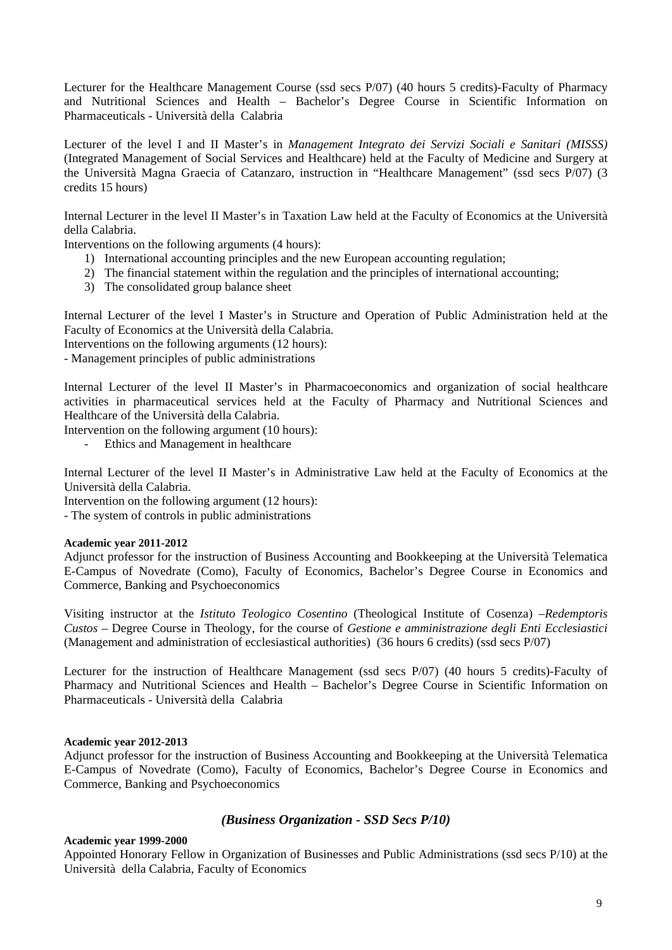Lecturer for the Healthcare Management Course (ssd secs P/07) (40 hours 5 credits)-Faculty of Pharmacy and Nutritional Sciences and Health – Bachelor's Degree Course in Scientific Information on Pharmaceuticals - Università della Calabria

Lecturer of the level I and II Master's in *Management Integrato dei Servizi Sociali e Sanitari (MISSS)*  (Integrated Management of Social Services and Healthcare) held at the Faculty of Medicine and Surgery at the Università Magna Graecia of Catanzaro, instruction in "Healthcare Management" (ssd secs P/07) (3 credits 15 hours)

Internal Lecturer in the level II Master's in Taxation Law held at the Faculty of Economics at the Università della Calabria.

Interventions on the following arguments (4 hours):

- 1) International accounting principles and the new European accounting regulation;
- 2) The financial statement within the regulation and the principles of international accounting;
- 3) The consolidated group balance sheet

Internal Lecturer of the level I Master's in Structure and Operation of Public Administration held at the Faculty of Economics at the Università della Calabria.

Interventions on the following arguments (12 hours):

- Management principles of public administrations

Internal Lecturer of the level II Master's in Pharmacoeconomics and organization of social healthcare activities in pharmaceutical services held at the Faculty of Pharmacy and Nutritional Sciences and Healthcare of the Università della Calabria.

Intervention on the following argument (10 hours):

- Ethics and Management in healthcare

Internal Lecturer of the level II Master's in Administrative Law held at the Faculty of Economics at the Università della Calabria.

Intervention on the following argument (12 hours):

- The system of controls in public administrations

# **Academic year 2011-2012**

Adjunct professor for the instruction of Business Accounting and Bookkeeping at the Università Telematica E-Campus of Novedrate (Como), Faculty of Economics, Bachelor's Degree Course in Economics and Commerce, Banking and Psychoeconomics

Visiting instructor at the *Istituto Teologico Cosentino* (Theological Institute of Cosenza) –*Redemptoris Custos* – Degree Course in Theology, for the course of *Gestione e amministrazione degli Enti Ecclesiastici* (Management and administration of ecclesiastical authorities) (36 hours 6 credits) (ssd secs P/07)

Lecturer for the instruction of Healthcare Management (ssd secs P/07) (40 hours 5 credits)-Faculty of Pharmacy and Nutritional Sciences and Health – Bachelor's Degree Course in Scientific Information on Pharmaceuticals - Università della Calabria

# **Academic year 2012-2013**

Adjunct professor for the instruction of Business Accounting and Bookkeeping at the Università Telematica E-Campus of Novedrate (Como), Faculty of Economics, Bachelor's Degree Course in Economics and Commerce, Banking and Psychoeconomics

# *(Business Organization - SSD Secs P/10)*

# **Academic year 1999-2000**

Appointed Honorary Fellow in Organization of Businesses and Public Administrations (ssd secs P/10) at the Università della Calabria, Faculty of Economics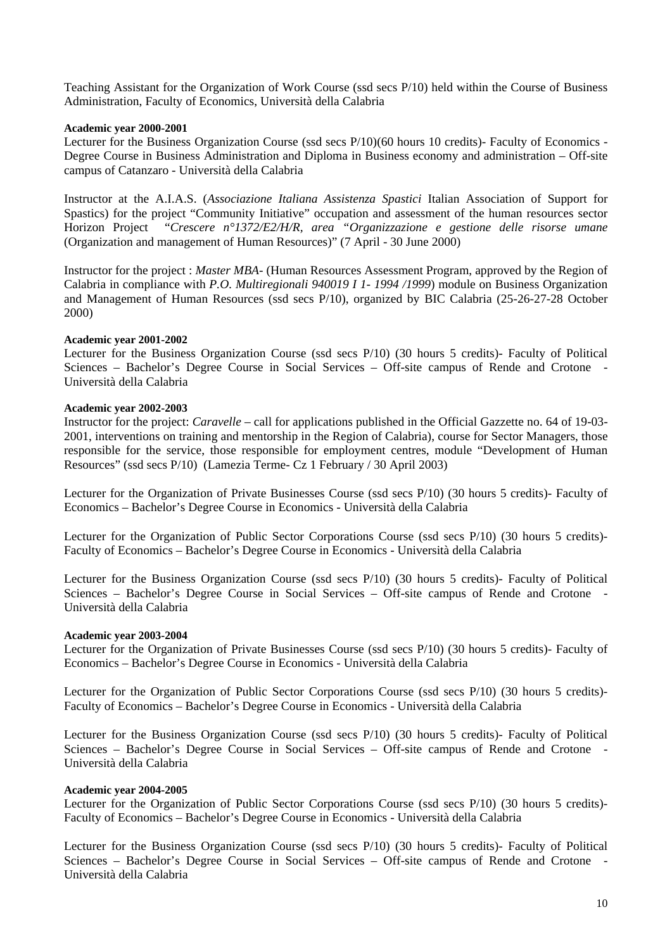Teaching Assistant for the Organization of Work Course (ssd secs P/10) held within the Course of Business Administration, Faculty of Economics, Università della Calabria

### **Academic year 2000-2001**

Lecturer for the Business Organization Course (ssd secs P/10)(60 hours 10 credits)- Faculty of Economics - Degree Course in Business Administration and Diploma in Business economy and administration – Off-site campus of Catanzaro - Università della Calabria

Instructor at the A.I.A.S. (*Associazione Italiana Assistenza Spastici* Italian Association of Support for Spastics) for the project "Community Initiative" occupation and assessment of the human resources sector Horizon Project "*Crescere n°1372/E2/H/R, area "Organizzazione e gestione delle risorse umane* (Organization and management of Human Resources)" (7 April - 30 June 2000)

Instructor for the project : *Master MBA*- (Human Resources Assessment Program, approved by the Region of Calabria in compliance with *P.O. Multiregionali 940019 I 1- 1994 /1999*) module on Business Organization and Management of Human Resources (ssd secs P/10), organized by BIC Calabria (25-26-27-28 October 2000)

### **Academic year 2001-2002**

Lecturer for the Business Organization Course (ssd secs P/10) (30 hours 5 credits)- Faculty of Political Sciences – Bachelor's Degree Course in Social Services – Off-site campus of Rende and Crotone - Università della Calabria

#### **Academic year 2002-2003**

Instructor for the project: *Caravelle* – call for applications published in the Official Gazzette no. 64 of 19-03- 2001, interventions on training and mentorship in the Region of Calabria), course for Sector Managers, those responsible for the service, those responsible for employment centres, module "Development of Human Resources" (ssd secs P/10) (Lamezia Terme- Cz 1 February / 30 April 2003)

Lecturer for the Organization of Private Businesses Course (ssd secs P/10) (30 hours 5 credits)- Faculty of Economics – Bachelor's Degree Course in Economics - Università della Calabria

Lecturer for the Organization of Public Sector Corporations Course (ssd secs P/10) (30 hours 5 credits)- Faculty of Economics – Bachelor's Degree Course in Economics - Università della Calabria

Lecturer for the Business Organization Course (ssd secs P/10) (30 hours 5 credits)- Faculty of Political Sciences – Bachelor's Degree Course in Social Services – Off-site campus of Rende and Crotone Università della Calabria

#### **Academic year 2003-2004**

Lecturer for the Organization of Private Businesses Course (ssd secs P/10) (30 hours 5 credits)- Faculty of Economics – Bachelor's Degree Course in Economics - Università della Calabria

Lecturer for the Organization of Public Sector Corporations Course (ssd secs P/10) (30 hours 5 credits)- Faculty of Economics – Bachelor's Degree Course in Economics - Università della Calabria

Lecturer for the Business Organization Course (ssd secs P/10) (30 hours 5 credits)- Faculty of Political Sciences – Bachelor's Degree Course in Social Services – Off-site campus of Rende and Crotone - Università della Calabria

#### **Academic year 2004-2005**

Lecturer for the Organization of Public Sector Corporations Course (ssd secs P/10) (30 hours 5 credits)- Faculty of Economics – Bachelor's Degree Course in Economics - Università della Calabria

Lecturer for the Business Organization Course (ssd secs P/10) (30 hours 5 credits)- Faculty of Political Sciences – Bachelor's Degree Course in Social Services – Off-site campus of Rende and Crotone Università della Calabria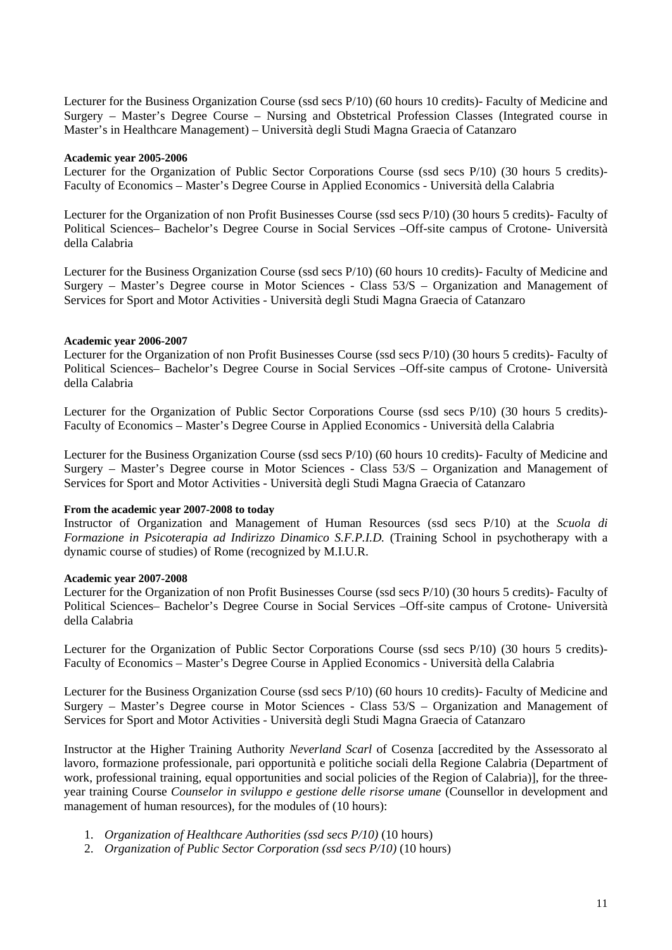Lecturer for the Business Organization Course (ssd secs P/10) (60 hours 10 credits)- Faculty of Medicine and Surgery – Master's Degree Course – Nursing and Obstetrical Profession Classes (Integrated course in Master's in Healthcare Management) – Università degli Studi Magna Graecia of Catanzaro

#### **Academic year 2005-2006**

Lecturer for the Organization of Public Sector Corporations Course (ssd secs P/10) (30 hours 5 credits)- Faculty of Economics – Master's Degree Course in Applied Economics - Università della Calabria

Lecturer for the Organization of non Profit Businesses Course (ssd secs P/10) (30 hours 5 credits)- Faculty of Political Sciences– Bachelor's Degree Course in Social Services –Off-site campus of Crotone- Università della Calabria

Lecturer for the Business Organization Course (ssd secs P/10) (60 hours 10 credits)- Faculty of Medicine and Surgery – Master's Degree course in Motor Sciences - Class 53/S – Organization and Management of Services for Sport and Motor Activities - Università degli Studi Magna Graecia of Catanzaro

### **Academic year 2006-2007**

Lecturer for the Organization of non Profit Businesses Course (ssd secs P/10) (30 hours 5 credits)- Faculty of Political Sciences– Bachelor's Degree Course in Social Services –Off-site campus of Crotone- Università della Calabria

Lecturer for the Organization of Public Sector Corporations Course (ssd secs P/10) (30 hours 5 credits)- Faculty of Economics – Master's Degree Course in Applied Economics - Università della Calabria

Lecturer for the Business Organization Course (ssd secs P/10) (60 hours 10 credits)- Faculty of Medicine and Surgery – Master's Degree course in Motor Sciences - Class 53/S – Organization and Management of Services for Sport and Motor Activities - Università degli Studi Magna Graecia of Catanzaro

#### **From the academic year 2007-2008 to today**

Instructor of Organization and Management of Human Resources (ssd secs P/10) at the *Scuola di Formazione in Psicoterapia ad Indirizzo Dinamico S.F.P.I.D.* (Training School in psychotherapy with a dynamic course of studies) of Rome (recognized by M.I.U.R.

#### **Academic year 2007-2008**

Lecturer for the Organization of non Profit Businesses Course (ssd secs P/10) (30 hours 5 credits)- Faculty of Political Sciences– Bachelor's Degree Course in Social Services –Off-site campus of Crotone- Università della Calabria

Lecturer for the Organization of Public Sector Corporations Course (ssd secs P/10) (30 hours 5 credits)- Faculty of Economics – Master's Degree Course in Applied Economics - Università della Calabria

Lecturer for the Business Organization Course (ssd secs P/10) (60 hours 10 credits)- Faculty of Medicine and Surgery – Master's Degree course in Motor Sciences - Class 53/S – Organization and Management of Services for Sport and Motor Activities - Università degli Studi Magna Graecia of Catanzaro

Instructor at the Higher Training Authority *Neverland Scarl* of Cosenza [accredited by the Assessorato al lavoro, formazione professionale, pari opportunità e politiche sociali della Regione Calabria (Department of work, professional training, equal opportunities and social policies of the Region of Calabria)], for the threeyear training Course *Counselor in sviluppo e gestione delle risorse umane* (Counsellor in development and management of human resources), for the modules of (10 hours):

- 1. *Organization of Healthcare Authorities (ssd secs P/10)* (10 hours)
- 2. *Organization of Public Sector Corporation (ssd secs P/10)* (10 hours)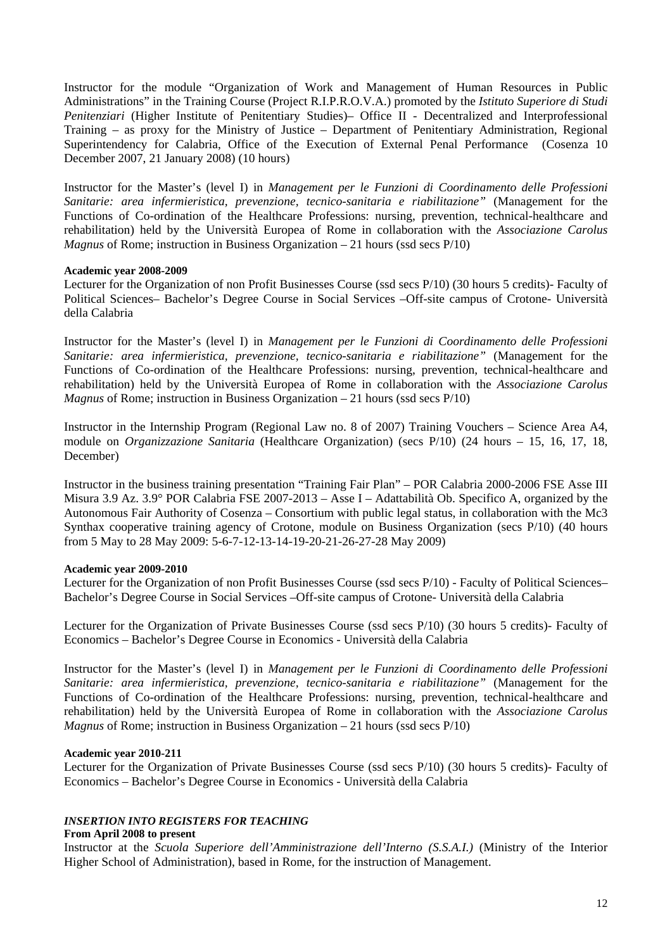Instructor for the module "Organization of Work and Management of Human Resources in Public Administrations" in the Training Course (Project R.I.P.R.O.V.A.) promoted by the *Istituto Superiore di Studi Penitenziari* (Higher Institute of Penitentiary Studies)– Office II - Decentralized and Interprofessional Training – as proxy for the Ministry of Justice – Department of Penitentiary Administration, Regional Superintendency for Calabria, Office of the Execution of External Penal Performance (Cosenza 10 December 2007, 21 January 2008) (10 hours)

Instructor for the Master's (level I) in *Management per le Funzioni di Coordinamento delle Professioni Sanitarie: area infermieristica, prevenzione, tecnico-sanitaria e riabilitazione"* (Management for the Functions of Co-ordination of the Healthcare Professions: nursing, prevention, technical-healthcare and rehabilitation) held by the Università Europea of Rome in collaboration with the *Associazione Carolus Magnus* of Rome; instruction in Business Organization – 21 hours (ssd secs P/10)

#### **Academic year 2008-2009**

Lecturer for the Organization of non Profit Businesses Course (ssd secs P/10) (30 hours 5 credits)- Faculty of Political Sciences– Bachelor's Degree Course in Social Services –Off-site campus of Crotone- Università della Calabria

Instructor for the Master's (level I) in *Management per le Funzioni di Coordinamento delle Professioni Sanitarie: area infermieristica, prevenzione, tecnico-sanitaria e riabilitazione"* (Management for the Functions of Co-ordination of the Healthcare Professions: nursing, prevention, technical-healthcare and rehabilitation) held by the Università Europea of Rome in collaboration with the *Associazione Carolus Magnus* of Rome; instruction in Business Organization – 21 hours (ssd secs P/10)

Instructor in the Internship Program (Regional Law no. 8 of 2007) Training Vouchers – Science Area A4, module on *Organizzazione Sanitaria* (Healthcare Organization) (secs P/10) (24 hours – 15, 16, 17, 18, December)

Instructor in the business training presentation "Training Fair Plan" – POR Calabria 2000-2006 FSE Asse III Misura 3.9 Az. 3.9° POR Calabria FSE 2007-2013 – Asse I – Adattabilità Ob. Specifico A, organized by the Autonomous Fair Authority of Cosenza – Consortium with public legal status, in collaboration with the Mc3 Synthax cooperative training agency of Crotone, module on Business Organization (secs P/10) (40 hours from 5 May to 28 May 2009: 5-6-7-12-13-14-19-20-21-26-27-28 May 2009)

# **Academic year 2009-2010**

Lecturer for the Organization of non Profit Businesses Course (ssd secs P/10) - Faculty of Political Sciences– Bachelor's Degree Course in Social Services –Off-site campus of Crotone- Università della Calabria

Lecturer for the Organization of Private Businesses Course (ssd secs P/10) (30 hours 5 credits)- Faculty of Economics – Bachelor's Degree Course in Economics - Università della Calabria

Instructor for the Master's (level I) in *Management per le Funzioni di Coordinamento delle Professioni Sanitarie: area infermieristica, prevenzione, tecnico-sanitaria e riabilitazione"* (Management for the Functions of Co-ordination of the Healthcare Professions: nursing, prevention, technical-healthcare and rehabilitation) held by the Università Europea of Rome in collaboration with the *Associazione Carolus Magnus* of Rome; instruction in Business Organization – 21 hours (ssd secs P/10)

#### **Academic year 2010-211**

Lecturer for the Organization of Private Businesses Course (ssd secs P/10) (30 hours 5 credits)- Faculty of Economics – Bachelor's Degree Course in Economics - Università della Calabria

# *INSERTION INTO REGISTERS FOR TEACHING*

#### **From April 2008 to present**

Instructor at the *Scuola Superiore dell'Amministrazione dell'Interno (S.S.A.I.)* (Ministry of the Interior Higher School of Administration), based in Rome, for the instruction of Management.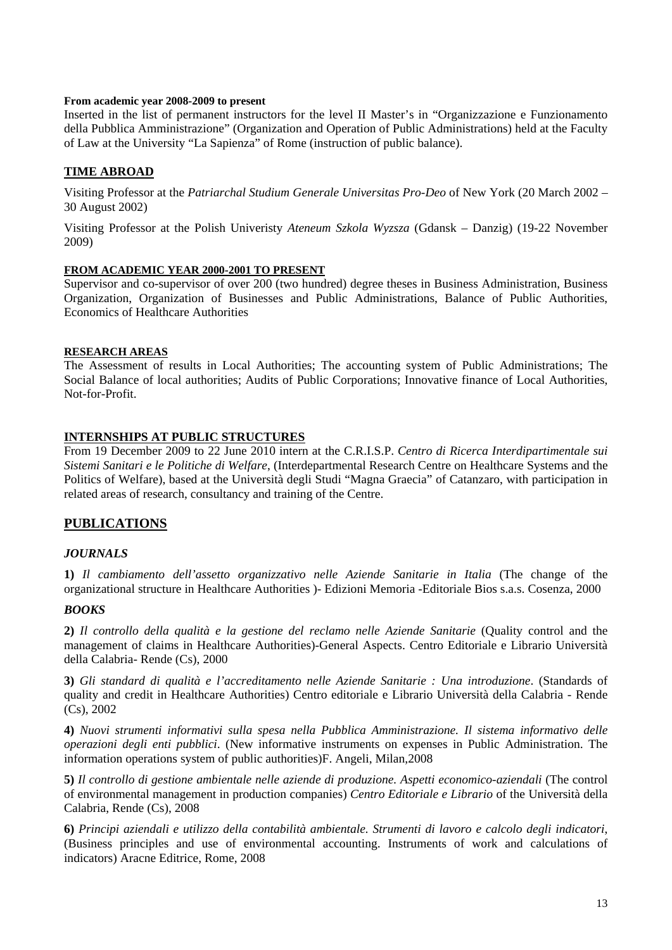# **From academic year 2008-2009 to present**

Inserted in the list of permanent instructors for the level II Master's in "Organizzazione e Funzionamento della Pubblica Amministrazione" (Organization and Operation of Public Administrations) held at the Faculty of Law at the University "La Sapienza" of Rome (instruction of public balance).

# **TIME ABROAD**

Visiting Professor at the *Patriarchal Studium Generale Universitas Pro-Deo* of New York (20 March 2002 – 30 August 2002)

Visiting Professor at the Polish Univeristy *Ateneum Szkola Wyzsza* (Gdansk – Danzig) (19-22 November 2009)

### **FROM ACADEMIC YEAR 2000-2001 TO PRESENT**

Supervisor and co-supervisor of over 200 (two hundred) degree theses in Business Administration, Business Organization, Organization of Businesses and Public Administrations, Balance of Public Authorities, Economics of Healthcare Authorities

### **RESEARCH AREAS**

The Assessment of results in Local Authorities; The accounting system of Public Administrations; The Social Balance of local authorities; Audits of Public Corporations; Innovative finance of Local Authorities, Not-for-Profit.

# **INTERNSHIPS AT PUBLIC STRUCTURES**

From 19 December 2009 to 22 June 2010 intern at the C.R.I.S.P. *Centro di Ricerca Interdipartimentale sui Sistemi Sanitari e le Politiche di Welfare*, (Interdepartmental Research Centre on Healthcare Systems and the Politics of Welfare), based at the Università degli Studi "Magna Graecia" of Catanzaro, with participation in related areas of research, consultancy and training of the Centre.

# **PUBLICATIONS**

# *JOURNALS*

**1)** *Il cambiamento dell'assetto organizzativo nelle Aziende Sanitarie in Italia* (The change of the organizational structure in Healthcare Authorities )- Edizioni Memoria -Editoriale Bios s.a.s. Cosenza, 2000

# *BOOKS*

**2)** *Il controllo della qualità e la gestione del reclamo nelle Aziende Sanitarie* (Quality control and the management of claims in Healthcare Authorities)-General Aspects. Centro Editoriale e Librario Università della Calabria- Rende (Cs), 2000

**3)** *Gli standard di qualità e l'accreditamento nelle Aziende Sanitarie : Una introduzione*. (Standards of quality and credit in Healthcare Authorities) Centro editoriale e Librario Università della Calabria - Rende (Cs), 2002

**4)** *Nuovi strumenti informativi sulla spesa nella Pubblica Amministrazione. Il sistema informativo delle operazioni degli enti pubblici*. (New informative instruments on expenses in Public Administration. The information operations system of public authorities)F. Angeli, Milan,2008

**5)** *Il controllo di gestione ambientale nelle aziende di produzione. Aspetti economico-aziendali* (The control of environmental management in production companies) *Centro Editoriale e Librario* of the Università della Calabria, Rende (Cs), 2008

**6)** *Principi aziendali e utilizzo della contabilità ambientale. Strumenti di lavoro e calcolo degli indicatori*, (Business principles and use of environmental accounting. Instruments of work and calculations of indicators) Aracne Editrice, Rome, 2008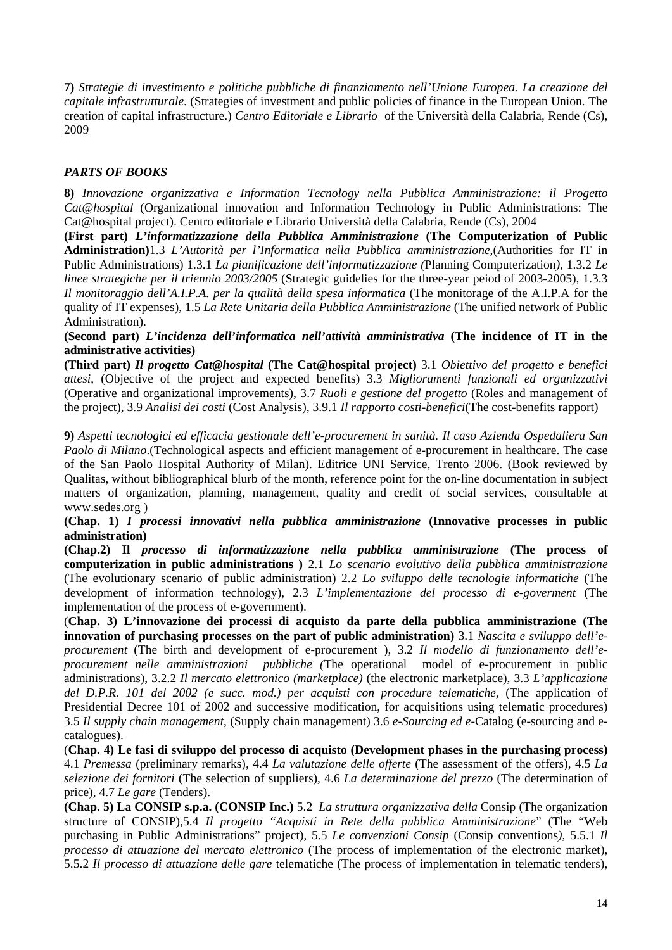**7)** *Strategie di investimento e politiche pubbliche di finanziamento nell'Unione Europea. La creazione del capitale infrastrutturale*. (Strategies of investment and public policies of finance in the European Union. The creation of capital infrastructure.) *Centro Editoriale e Librario* of the Università della Calabria, Rende (Cs), 2009

# *PARTS OF BOOKS*

**8)** *Innovazione organizzativa e Information Tecnology nella Pubblica Amministrazione: il Progetto Cat@hospital* (Organizational innovation and Information Technology in Public Administrations: The Cat@hospital project). Centro editoriale e Librario Università della Calabria, Rende (Cs), 2004

**(First part)** *L'informatizzazione della Pubblica Amministrazione* **(The Computerization of Public Administration)**1.3 *L'Autorità per l'Informatica nella Pubblica amministrazione*,(Authorities for IT in Public Administrations) 1.3.1 *La pianificazione dell'informatizzazione (*Planning Computerization*)*, 1.3.2 *Le linee strategiche per il triennio 2003/2005* (Strategic guidelies for the three-year peiod of 2003-2005), 1.3.3 *Il monitoraggio dell'A.I.P.A. per la qualità della spesa informatica* (The monitorage of the A.I.P.A for the quality of IT expenses), 1.5 *La Rete Unitaria della Pubblica Amministrazione* (The unified network of Public Administration).

**(Second part)** *L'incidenza dell'informatica nell'attività amministrativa* **(The incidence of IT in the administrative activities)** 

**(Third part)** *Il progetto Cat@hospital* **(The Cat@hospital project)** 3.1 *Obiettivo del progetto e benefici attesi*, (Objective of the project and expected benefits) 3.3 *Miglioramenti funzionali ed organizzativi*  (Operative and organizational improvements), 3.7 *Ruoli e gestione del progetto* (Roles and management of the project), 3.9 *Analisi dei costi* (Cost Analysis), 3.9.1 *Il rapporto costi-benefici*(The cost-benefits rapport)

**9)** *Aspetti tecnologici ed efficacia gestionale dell'e-procurement in sanità. Il caso Azienda Ospedaliera San Paolo di Milano*.(Technological aspects and efficient management of e-procurement in healthcare. The case of the San Paolo Hospital Authority of Milan). Editrice UNI Service, Trento 2006. (Book reviewed by Qualitas, without bibliographical blurb of the month, reference point for the on-line documentation in subject matters of organization, planning, management, quality and credit of social services, consultable at www.sedes.org )

**(Chap. 1)** *I processi innovativi nella pubblica amministrazione* **(Innovative processes in public administration)**

**(Chap.2) Il** *processo di informatizzazione nella pubblica amministrazione* **(The process of computerization in public administrations )** 2.1 *Lo scenario evolutivo della pubblica amministrazione* (The evolutionary scenario of public administration) 2.2 *Lo sviluppo delle tecnologie informatiche* (The development of information technology), 2.3 *L'implementazione del processo di e-goverment* (The implementation of the process of e-government).

(**Chap. 3) L'innovazione dei processi di acquisto da parte della pubblica amministrazione (The innovation of purchasing processes on the part of public administration)** 3.1 *Nascita e sviluppo dell'eprocurement* (The birth and development of e-procurement ), 3.2 *Il modello di funzionamento dell'eprocurement nelle amministrazioni pubbliche (*The operational model of e-procurement in public administrations), 3.2.2 *Il mercato elettronico (marketplace)* (the electronic marketplace), 3.3 *L'applicazione del D.P.R. 101 del 2002 (e succ. mod.) per acquisti con procedure telematiche*, (The application of Presidential Decree 101 of 2002 and successive modification, for acquisitions using telematic procedures) 3.5 *Il supply chain management*, (Supply chain management) 3.6 *e-Sourcing ed e-*Catalog (e-sourcing and ecatalogues).

(**Chap. 4) Le fasi di sviluppo del processo di acquisto (Development phases in the purchasing process)** 4.1 *Premessa* (preliminary remarks)*,* 4.4 *La valutazione delle offerte* (The assessment of the offers), 4.5 *La selezione dei fornitori* (The selection of suppliers), 4.6 *La determinazione del prezzo* (The determination of price), 4.7 *Le gare* (Tenders).

**(Chap. 5) La CONSIP s.p.a. (CONSIP Inc.)** 5.2 *La struttura organizzativa della* Consip (The organization structure of CONSIP),5.4 *Il progetto "Acquisti in Rete della pubblica Amministrazione*" (The "Web purchasing in Public Administrations" project), 5.5 *Le convenzioni Consip* (Consip conventions*)*, 5.5.1 *Il processo di attuazione del mercato elettronico* (The process of implementation of the electronic market), 5.5.2 *Il processo di attuazione delle gare* telematiche (The process of implementation in telematic tenders),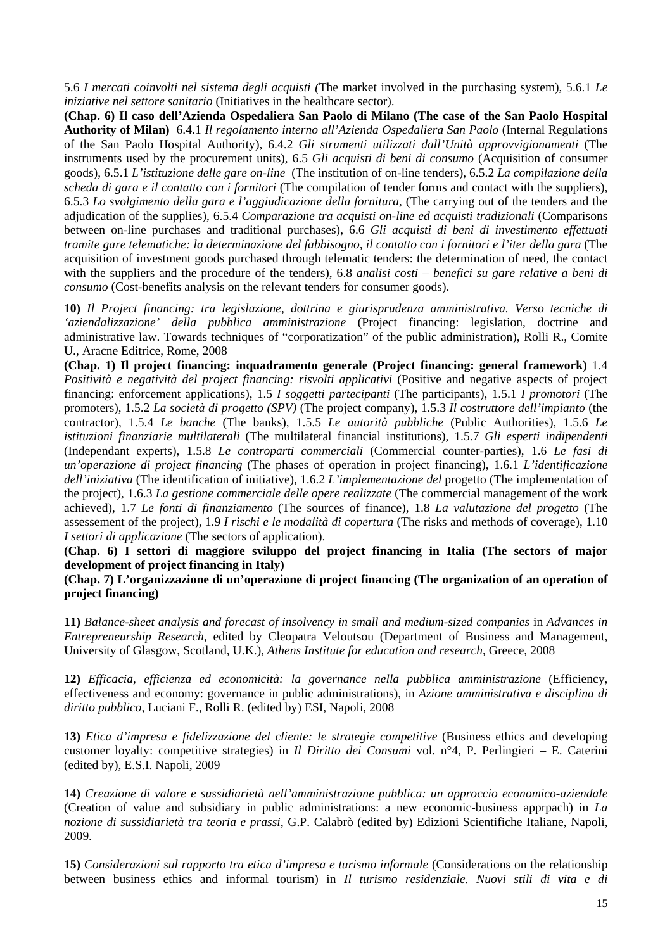5.6 *I mercati coinvolti nel sistema degli acquisti (*The market involved in the purchasing system), 5.6.1 *Le iniziative nel settore sanitario* (Initiatives in the healthcare sector).

**(Chap. 6) Il caso dell'Azienda Ospedaliera San Paolo di Milano (The case of the San Paolo Hospital Authority of Milan)** 6.4.1 *Il regolamento interno all'Azienda Ospedaliera San Paolo* (Internal Regulations of the San Paolo Hospital Authority), 6.4.2 *Gli strumenti utilizzati dall'Unità approvvigionamenti* (The instruments used by the procurement units), 6.5 *Gli acquisti di beni di consumo* (Acquisition of consumer goods), 6.5.1 *L'istituzione delle gare on-line* (The institution of on-line tenders), 6.5.2 *La compilazione della scheda di gara e il contatto con i fornitori* (The compilation of tender forms and contact with the suppliers), 6.5.3 *Lo svolgimento della gara e l'aggiudicazione della fornitura*, (The carrying out of the tenders and the adjudication of the supplies), 6.5.4 *Comparazione tra acquisti on-line ed acquisti tradizionali* (Comparisons between on-line purchases and traditional purchases), 6.6 *Gli acquisti di beni di investimento effettuati tramite gare telematiche: la determinazione del fabbisogno, il contatto con i fornitori e l'iter della gara* (The acquisition of investment goods purchased through telematic tenders: the determination of need, the contact with the suppliers and the procedure of the tenders), 6.8 *analisi costi – benefici su gare relative a beni di consumo* (Cost-benefits analysis on the relevant tenders for consumer goods).

**10)** *Il Project financing: tra legislazione, dottrina e giurisprudenza amministrativa. Verso tecniche di 'aziendalizzazione' della pubblica amministrazione* (Project financing: legislation, doctrine and administrative law. Towards techniques of "corporatization" of the public administration), Rolli R., Comite U., Aracne Editrice, Rome, 2008

**(Chap. 1) Il project financing: inquadramento generale (Project financing: general framework)** 1.4 *Positività e negatività del project financing: risvolti applicativi* (Positive and negative aspects of project financing: enforcement applications), 1.5 *I soggetti partecipanti* (The participants), 1.5.1 *I promotori* (The promoters), 1.5.2 *La società di progetto (SPV)* (The project company), 1.5.3 *Il costruttore dell'impianto* (the contractor), 1.5.4 *Le banche* (The banks), 1.5.5 *Le autorità pubbliche* (Public Authorities), 1.5.6 *Le istituzioni finanziarie multilaterali* (The multilateral financial institutions), 1.5.7 *Gli esperti indipendenti*  (Independant experts), 1.5.8 *Le controparti commerciali* (Commercial counter-parties), 1.6 *Le fasi di un'operazione di project financing* (The phases of operation in project financing), 1.6.1 *L'identificazione dell'iniziativa* (The identification of initiative), 1.6.2 *L'implementazione del* progetto (The implementation of the project), 1.6.3 *La gestione commerciale delle opere realizzate* (The commercial management of the work achieved), 1.7 *Le fonti di finanziamento* (The sources of finance), 1.8 *La valutazione del progetto* (The assessement of the project), 1.9 *I rischi e le modalità di copertura* (The risks and methods of coverage), 1.10 *I settori di applicazione* (The sectors of application).

**(Chap. 6) I settori di maggiore sviluppo del project financing in Italia (The sectors of major development of project financing in Italy)** 

**(Chap. 7) L'organizzazione di un'operazione di project financing (The organization of an operation of project financing)** 

**11)** *Balance-sheet analysis and forecast of insolvency in small and medium-sized companies* in *Advances in Entrepreneurship Research*, edited by Cleopatra Veloutsou (Department of Business and Management, University of Glasgow, Scotland, U.K.), *Athens Institute for education and research*, Greece, 2008

**12)** *Efficacia, efficienza ed economicità: la governance nella pubblica amministrazione* (Efficiency, effectiveness and economy: governance in public administrations), in *Azione amministrativa e disciplina di diritto pubblico*, Luciani F., Rolli R. (edited by) ESI, Napoli, 2008

**13)** *Etica d'impresa e fidelizzazione del cliente: le strategie competitive* (Business ethics and developing customer loyalty: competitive strategies) in *Il Diritto dei Consumi* vol. n°4, P. Perlingieri – E. Caterini (edited by), E.S.I. Napoli, 2009

**14)** *Creazione di valore e sussidiarietà nell'amministrazione pubblica: un approccio economico-aziendale*  (Creation of value and subsidiary in public administrations: a new economic-business apprpach) in *La nozione di sussidiarietà tra teoria e prassi*, G.P. Calabrò (edited by) Edizioni Scientifiche Italiane, Napoli, 2009.

**15)** *Considerazioni sul rapporto tra etica d'impresa e turismo informale* (Considerations on the relationship between business ethics and informal tourism) in *Il turismo residenziale. Nuovi stili di vita e di*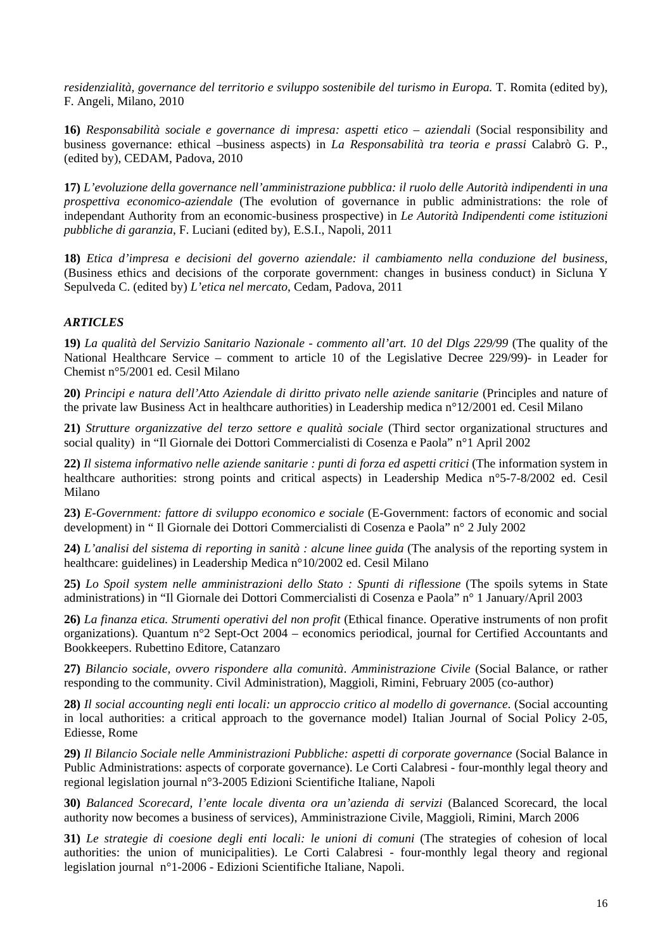*residenzialità, governance del territorio e sviluppo sostenibile del turismo in Europa.* T. Romita (edited by), F. Angeli, Milano, 2010

**16)** *Responsabilità sociale e governance di impresa: aspetti etico – aziendali* (Social responsibility and business governance: ethical –business aspects) in *La Responsabilità tra teoria e prassi* Calabrò G. P., (edited by), CEDAM, Padova, 2010

**17)** *L'evoluzione della governance nell'amministrazione pubblica: il ruolo delle Autorità indipendenti in una prospettiva economico-aziendale* (The evolution of governance in public administrations: the role of independant Authority from an economic-business prospective) in *Le Autorità Indipendenti come istituzioni pubbliche di garanzia*, F. Luciani (edited by), E.S.I., Napoli, 2011

**18)** *Etica d'impresa e decisioni del governo aziendale: il cambiamento nella conduzione del business*, (Business ethics and decisions of the corporate government: changes in business conduct) in Sicluna Y Sepulveda C. (edited by) *L'etica nel mercato*, Cedam, Padova, 2011

# *ARTICLES*

**19)** *La qualità del Servizio Sanitario Nazionale - commento all'art. 10 del Dlgs 229/99* (The quality of the National Healthcare Service – comment to article 10 of the Legislative Decree 229/99)- in Leader for Chemist n°5/2001 ed. Cesil Milano

**20)** *Principi e natura dell'Atto Aziendale di diritto privato nelle aziende sanitarie* (Principles and nature of the private law Business Act in healthcare authorities) in Leadership medica n°12/2001 ed. Cesil Milano

**21)** *Strutture organizzative del terzo settore e qualità sociale* (Third sector organizational structures and social quality) in "Il Giornale dei Dottori Commercialisti di Cosenza e Paola" n°1 April 2002

**22)** *Il sistema informativo nelle aziende sanitarie : punti di forza ed aspetti critici* (The information system in healthcare authorities: strong points and critical aspects) in Leadership Medica n°5-7-8/2002 ed. Cesil Milano

**23)** *E-Government: fattore di sviluppo economico e sociale* (E-Government: factors of economic and social development) in " Il Giornale dei Dottori Commercialisti di Cosenza e Paola" n° 2 July 2002

**24)** *L'analisi del sistema di reporting in sanità : alcune linee guida* (The analysis of the reporting system in healthcare: guidelines) in Leadership Medica n°10/2002 ed. Cesil Milano

**25)** *Lo Spoil system nelle amministrazioni dello Stato : Spunti di riflessione* (The spoils sytems in State administrations) in "Il Giornale dei Dottori Commercialisti di Cosenza e Paola" n° 1 January/April 2003

**26)** *La finanza etica. Strumenti operativi del non profit* (Ethical finance. Operative instruments of non profit organizations). Quantum n°2 Sept-Oct 2004 – economics periodical, journal for Certified Accountants and Bookkeepers. Rubettino Editore, Catanzaro

**27)** *Bilancio sociale, ovvero rispondere alla comunità*. *Amministrazione Civile* (Social Balance, or rather responding to the community. Civil Administration), Maggioli, Rimini, February 2005 (co-author)

**28)** *Il social accounting negli enti locali: un approccio critico al modello di governance*. (Social accounting in local authorities: a critical approach to the governance model) Italian Journal of Social Policy 2-05, Ediesse, Rome

**29)** *Il Bilancio Sociale nelle Amministrazioni Pubbliche: aspetti di corporate governance* (Social Balance in Public Administrations: aspects of corporate governance). Le Corti Calabresi - four-monthly legal theory and regional legislation journal n°3-2005 Edizioni Scientifiche Italiane, Napoli

**30)** *Balanced Scorecard, l'ente locale diventa ora un'azienda di servizi* (Balanced Scorecard, the local authority now becomes a business of services), Amministrazione Civile, Maggioli, Rimini, March 2006

**31)** *Le strategie di coesione degli enti locali: le unioni di comuni* (The strategies of cohesion of local authorities: the union of municipalities). Le Corti Calabresi - four-monthly legal theory and regional legislation journal n°1-2006 - Edizioni Scientifiche Italiane, Napoli.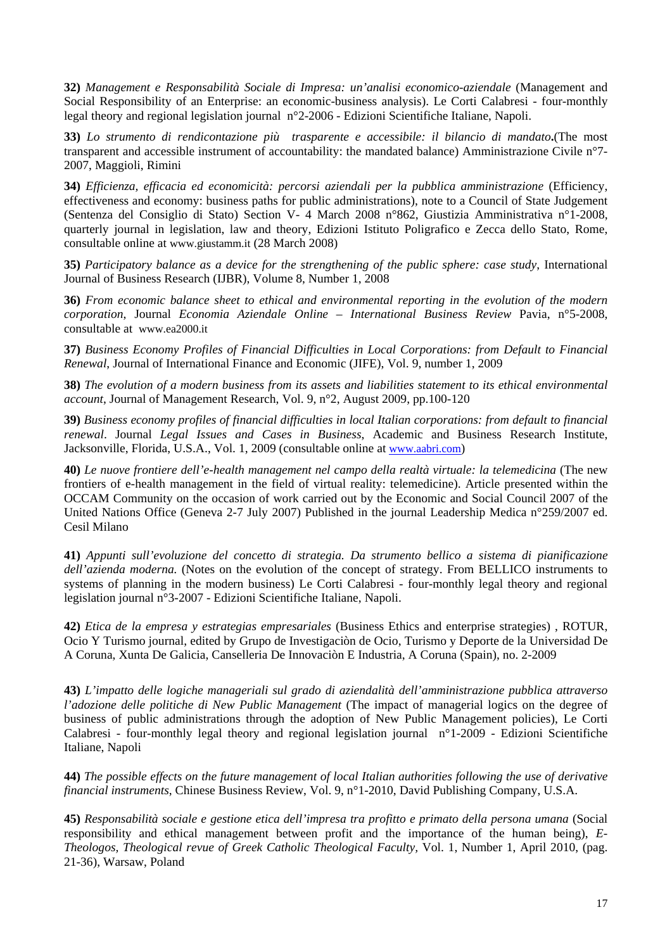**32)** *Management e Responsabilità Sociale di Impresa: un'analisi economico-aziendale* (Management and Social Responsibility of an Enterprise: an economic-business analysis). Le Corti Calabresi - four-monthly legal theory and regional legislation journal n°2-2006 - Edizioni Scientifiche Italiane, Napoli.

**33)** *Lo strumento di rendicontazione più trasparente e accessibile: il bilancio di mandato***.**(The most transparent and accessible instrument of accountability: the mandated balance) Amministrazione Civile n°7- 2007, Maggioli, Rimini

**34)** *Efficienza, efficacia ed economicità: percorsi aziendali per la pubblica amministrazione* (Efficiency, effectiveness and economy: business paths for public administrations), note to a Council of State Judgement (Sentenza del Consiglio di Stato) Section V- 4 March 2008 n°862, Giustizia Amministrativa n°1-2008, quarterly journal in legislation, law and theory, Edizioni Istituto Poligrafico e Zecca dello Stato, Rome, consultable online at www.giustamm.it (28 March 2008)

**35)** *Participatory balance as a device for the strengthening of the public sphere: case study*, International Journal of Business Research (IJBR), Volume 8, Number 1, 2008

**36)** *From economic balance sheet to ethical and environmental reporting in the evolution of the modern corporation*, Journal *Economia Aziendale Online* – *International Business Review* Pavia, n°5-2008, consultable at www.ea2000.it

**37)** *Business Economy Profiles of Financial Difficulties in Local Corporations: from Default to Financial Renewal*, Journal of International Finance and Economic (JIFE), Vol. 9, number 1, 2009

**38)** *The evolution of a modern business from its assets and liabilities statement to its ethical environmental account*, Journal of Management Research, Vol. 9, n°2, August 2009, pp.100-120

**39)** *Business economy profiles of financial difficulties in local Italian corporations: from default to financial renewal*. Journal *Legal Issues and Cases in Business*, Academic and Business Research Institute, Jacksonville, Florida, U.S.A., Vol. 1, 2009 (consultable online at www.aabri.com)

**40)** *Le nuove frontiere dell'e-health management nel campo della realtà virtuale: la telemedicina* (The new frontiers of e-health management in the field of virtual reality: telemedicine). Article presented within the OCCAM Community on the occasion of work carried out by the Economic and Social Council 2007 of the United Nations Office (Geneva 2-7 July 2007) Published in the journal Leadership Medica n°259/2007 ed. Cesil Milano

**41)** *Appunti sull'evoluzione del concetto di strategia. Da strumento bellico a sistema di pianificazione dell'azienda moderna.* (Notes on the evolution of the concept of strategy. From BELLICO instruments to systems of planning in the modern business) Le Corti Calabresi - four-monthly legal theory and regional legislation journal n°3-2007 - Edizioni Scientifiche Italiane, Napoli.

**42)** *Etica de la empresa y estrategias empresariales* (Business Ethics and enterprise strategies) , ROTUR, Ocio Y Turismo journal, edited by Grupo de Investigaciòn de Ocio, Turismo y Deporte de la Universidad De A Coruna, Xunta De Galicia, Canselleria De Innovaciòn E Industria, A Coruna (Spain), no. 2-2009

**43)** *L'impatto delle logiche manageriali sul grado di aziendalità dell'amministrazione pubblica attraverso l'adozione delle politiche di New Public Management* (The impact of managerial logics on the degree of business of public administrations through the adoption of New Public Management policies), Le Corti Calabresi - four-monthly legal theory and regional legislation journal n°1-2009 - Edizioni Scientifiche Italiane, Napoli

**44)** *The possible effects on the future management of local Italian authorities following the use of derivative financial instruments*, Chinese Business Review, Vol. 9, n°1-2010, David Publishing Company, U.S.A.

**45)** *Responsabilità sociale e gestione etica dell'impresa tra profitto e primato della persona umana* (Social responsibility and ethical management between profit and the importance of the human being), *E-Theologos, Theological revue of Greek Catholic Theological Faculty,* Vol. 1, Number 1, April 2010, (pag. 21-36), Warsaw, Poland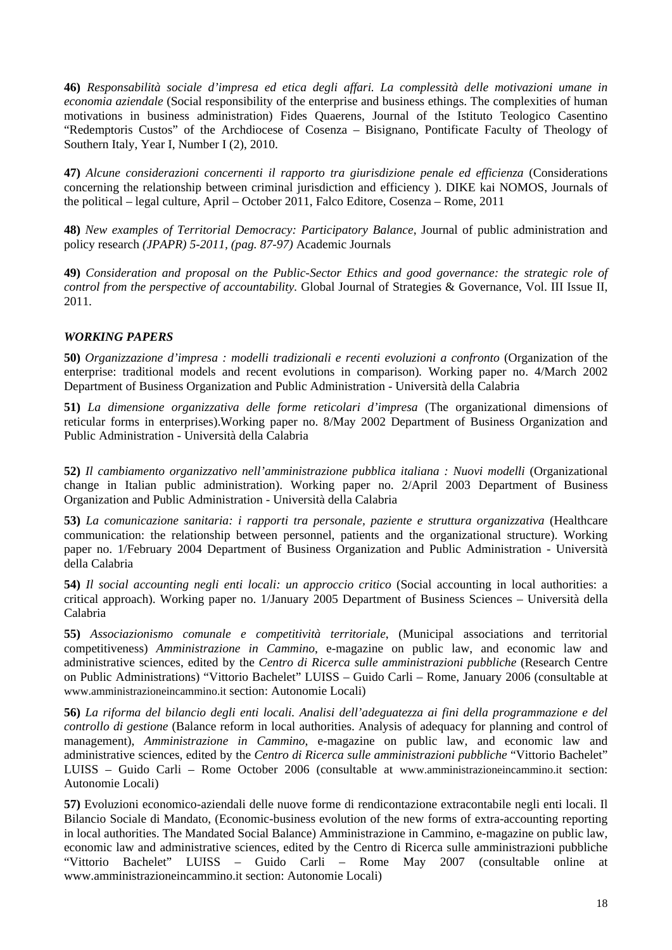**46)** *Responsabilità sociale d'impresa ed etica degli affari. La complessità delle motivazioni umane in economia aziendale* (Social responsibility of the enterprise and business ethings. The complexities of human motivations in business administration) Fides Quaerens, Journal of the Istituto Teologico Casentino "Redemptoris Custos" of the Archdiocese of Cosenza – Bisignano, Pontificate Faculty of Theology of Southern Italy, Year I, Number I (2), 2010.

**47)** *Alcune considerazioni concernenti il rapporto tra giurisdizione penale ed efficienza* (Considerations concerning the relationship between criminal jurisdiction and efficiency ). DIKE kai NOMOS, Journals of the political – legal culture, April – October 2011, Falco Editore, Cosenza – Rome, 2011

**48)** *New examples of Territorial Democracy: Participatory Balance*, Journal of public administration and policy research *(JPAPR) 5-2011, (pag. 87-97)* Academic Journals

**49)** *Consideration and proposal on the Public-Sector Ethics and good governance: the strategic role of control from the perspective of accountability.* Global Journal of Strategies & Governance, Vol. III Issue II, 2011.

# *WORKING PAPERS*

**50)** *Organizzazione d'impresa : modelli tradizionali e recenti evoluzioni a confronto* (Organization of the enterprise: traditional models and recent evolutions in comparison)*.* Working paper no. 4/March 2002 Department of Business Organization and Public Administration - Università della Calabria

**51)** *La dimensione organizzativa delle forme reticolari d'impresa* (The organizational dimensions of reticular forms in enterprises).Working paper no. 8/May 2002 Department of Business Organization and Public Administration - Università della Calabria

**52)** *Il cambiamento organizzativo nell'amministrazione pubblica italiana : Nuovi modelli* (Organizational change in Italian public administration). Working paper no. 2/April 2003 Department of Business Organization and Public Administration - Università della Calabria

**53)** *La comunicazione sanitaria: i rapporti tra personale, paziente e struttura organizzativa* (Healthcare communication: the relationship between personnel, patients and the organizational structure). Working paper no. 1/February 2004 Department of Business Organization and Public Administration - Università della Calabria

**54)** *Il social accounting negli enti locali: un approccio critico* (Social accounting in local authorities: a critical approach). Working paper no. 1/January 2005 Department of Business Sciences – Università della Calabria

**55)** *Associazionismo comunale e competitività territoriale*, (Municipal associations and territorial competitiveness) *Amministrazione in Cammino*, e-magazine on public law, and economic law and administrative sciences, edited by the *Centro di Ricerca sulle amministrazioni pubbliche* (Research Centre on Public Administrations) "Vittorio Bachelet" LUISS – Guido Carli – Rome, January 2006 (consultable at www.amministrazioneincammino.it section: Autonomie Locali)

**56)** *La riforma del bilancio degli enti locali. Analisi dell'adeguatezza ai fini della programmazione e del controllo di gestione* (Balance reform in local authorities. Analysis of adequacy for planning and control of management), *Amministrazione in Cammino*, e-magazine on public law, and economic law and administrative sciences, edited by the *Centro di Ricerca sulle amministrazioni pubbliche* "Vittorio Bachelet" LUISS – Guido Carli – Rome October 2006 (consultable at www.amministrazioneincammino.it section: Autonomie Locali)

**57)** Evoluzioni economico-aziendali delle nuove forme di rendicontazione extracontabile negli enti locali. Il Bilancio Sociale di Mandato, (Economic-business evolution of the new forms of extra-accounting reporting in local authorities. The Mandated Social Balance) Amministrazione in Cammino, e-magazine on public law, economic law and administrative sciences, edited by the Centro di Ricerca sulle amministrazioni pubbliche "Vittorio Bachelet" LUISS - Guido Carli - Rome May 2007 (consultable online www.amministrazioneincammino.it section: Autonomie Locali)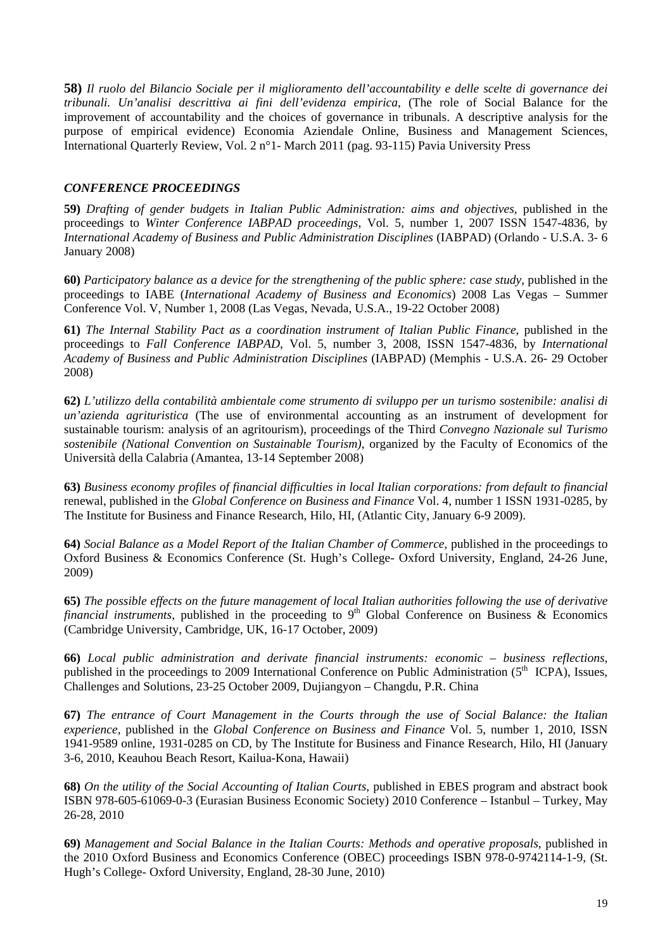**58)** *Il ruolo del Bilancio Sociale per il miglioramento dell'accountability e delle scelte di governance dei tribunali. Un'analisi descrittiva ai fini dell'evidenza empirica*, (The role of Social Balance for the improvement of accountability and the choices of governance in tribunals. A descriptive analysis for the purpose of empirical evidence) Economia Aziendale Online, Business and Management Sciences, International Quarterly Review, Vol. 2 n°1- March 2011 (pag. 93-115) Pavia University Press

# *CONFERENCE PROCEEDINGS*

**59)** *Drafting of gender budgets in Italian Public Administration: aims and objectives*, published in the proceedings to *Winter Conference IABPAD proceedings*, Vol. 5, number 1, 2007 ISSN 1547-4836, by *International Academy of Business and Public Administration Disciplines* (IABPAD) (Orlando - U.S.A. 3- 6 January 2008)

**60)** *Participatory balance as a device for the strengthening of the public sphere: case study*, published in the proceedings to IABE (*International Academy of Business and Economics*) 2008 Las Vegas – Summer Conference Vol. V, Number 1, 2008 (Las Vegas, Nevada, U.S.A., 19-22 October 2008)

**61)** *The Internal Stability Pact as a coordination instrument of Italian Public Finance*, published in the proceedings to *Fall Conference IABPAD*, Vol. 5, number 3, 2008, ISSN 1547-4836, by *International Academy of Business and Public Administration Disciplines* (IABPAD) (Memphis - U.S.A. 26- 29 October 2008)

**62)** *L'utilizzo della contabilità ambientale come strumento di sviluppo per un turismo sostenibile: analisi di un'azienda agrituristica* (The use of environmental accounting as an instrument of development for sustainable tourism: analysis of an agritourism), proceedings of the Third *Convegno Nazionale sul Turismo sostenibile (National Convention on Sustainable Tourism)*, organized by the Faculty of Economics of the Università della Calabria (Amantea, 13-14 September 2008)

**63)** *Business economy profiles of financial difficulties in local Italian corporations: from default to financial*  renewal, published in the *Global Conference on Business and Finance* Vol. 4, number 1 ISSN 1931-0285, by The Institute for Business and Finance Research, Hilo, HI, (Atlantic City, January 6-9 2009).

**64)** *Social Balance as a Model Report of the Italian Chamber of Commerce*, published in the proceedings to Oxford Business & Economics Conference (St. Hugh's College- Oxford University, England, 24-26 June, 2009)

**65)** *The possible effects on the future management of local Italian authorities following the use of derivative financial instruments*, published in the proceeding to 9<sup>th</sup> Global Conference on Business  $\&$  Economics (Cambridge University, Cambridge, UK, 16-17 October, 2009)

**66)** *Local public administration and derivate financial instruments: economic – business reflections*, published in the proceedings to 2009 International Conference on Public Administration (5<sup>th</sup> ICPA), Issues, Challenges and Solutions, 23-25 October 2009, Dujiangyon – Changdu, P.R. China

**67)** *The entrance of Court Management in the Courts through the use of Social Balance: the Italian experience*, published in the *Global Conference on Business and Finance* Vol. 5, number 1, 2010, ISSN 1941-9589 online, 1931-0285 on CD, by The Institute for Business and Finance Research, Hilo, HI (January 3-6, 2010, Keauhou Beach Resort, Kailua-Kona, Hawaii)

**68)** *On the utility of the Social Accounting of Italian Courts*, published in EBES program and abstract book ISBN 978-605-61069-0-3 (Eurasian Business Economic Society) 2010 Conference – Istanbul – Turkey, May 26-28, 2010

**69)** *Management and Social Balance in the Italian Courts: Methods and operative proposals*, published in the 2010 Oxford Business and Economics Conference (OBEC) proceedings ISBN 978-0-9742114-1-9, (St. Hugh's College- Oxford University, England, 28-30 June, 2010)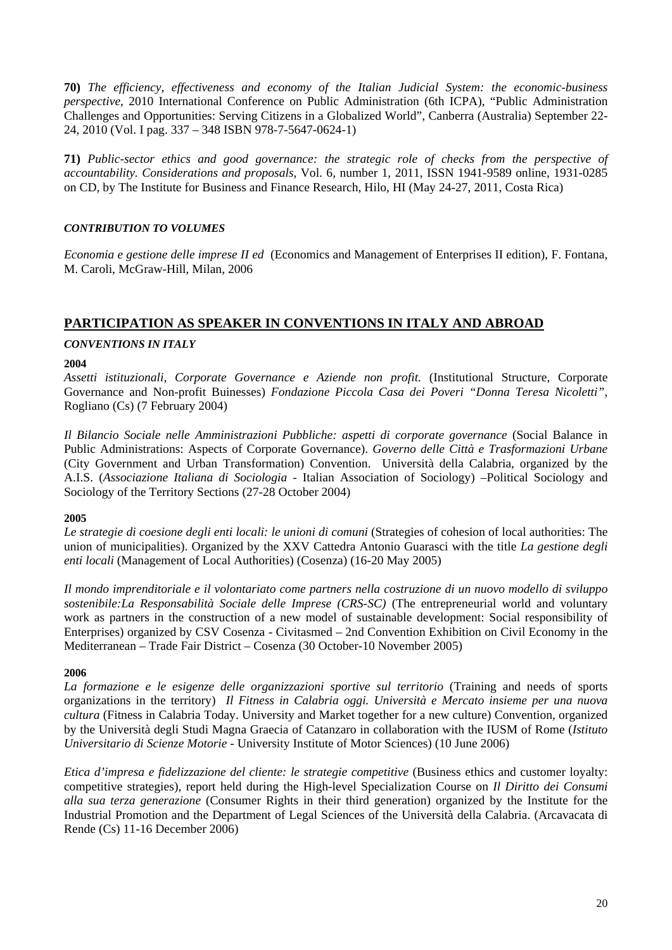**70)** *The efficiency, effectiveness and economy of the Italian Judicial System: the economic-business perspective*, 2010 International Conference on Public Administration (6th ICPA), "Public Administration Challenges and Opportunities: Serving Citizens in a Globalized World", Canberra (Australia) September 22- 24, 2010 (Vol. I pag. 337 – 348 ISBN 978-7-5647-0624-1)

**71)** *Public-sector ethics and good governance: the strategic role of checks from the perspective of accountability. Considerations and proposals*, Vol. 6, number 1, 2011, ISSN 1941-9589 online, 1931-0285 on CD, by The Institute for Business and Finance Research, Hilo, HI (May 24-27, 2011, Costa Rica)

# *CONTRIBUTION TO VOLUMES*

*Economia e gestione delle imprese II ed* (Economics and Management of Enterprises II edition), F. Fontana, M. Caroli, McGraw-Hill, Milan, 2006

# **PARTICIPATION AS SPEAKER IN CONVENTIONS IN ITALY AND ABROAD**

# *CONVENTIONS IN ITALY*

# **2004**

*Assetti istituzionali, Corporate Governance e Aziende non profit.* (Institutional Structure, Corporate Governance and Non-profit Buinesses) *Fondazione Piccola Casa dei Poveri "Donna Teresa Nicoletti"*, Rogliano (Cs) (7 February 2004)

*Il Bilancio Sociale nelle Amministrazioni Pubbliche: aspetti di corporate governance* (Social Balance in Public Administrations: Aspects of Corporate Governance). *Governo delle Città e Trasformazioni Urbane* (City Government and Urban Transformation) Convention. Università della Calabria, organized by the A.I.S. (*Associazione Italiana di Sociologia* - Italian Association of Sociology) –Political Sociology and Sociology of the Territory Sections (27-28 October 2004)

# **2005**

*Le strategie di coesione degli enti locali: le unioni di comuni* (Strategies of cohesion of local authorities: The union of municipalities). Organized by the XXV Cattedra Antonio Guarasci with the title *La gestione degli enti locali* (Management of Local Authorities) (Cosenza) (16-20 May 2005)

*Il mondo imprenditoriale e il volontariato come partners nella costruzione di un nuovo modello di sviluppo sostenibile:La Responsabilità Sociale delle Imprese (CRS-SC)* (The entrepreneurial world and voluntary work as partners in the construction of a new model of sustainable development: Social responsibility of Enterprises) organized by CSV Cosenza - Civitasmed – 2nd Convention Exhibition on Civil Economy in the Mediterranean – Trade Fair District – Cosenza (30 October-10 November 2005)

# **2006**

*La formazione e le esigenze delle organizzazioni sportive sul territorio* (Training and needs of sports organizations in the territory) *Il Fitness in Calabria oggi. Università e Mercato insieme per una nuova cultura* (Fitness in Calabria Today. University and Market together for a new culture) Convention, organized by the Università degli Studi Magna Graecia of Catanzaro in collaboration with the IUSM of Rome (*Istituto Universitario di Scienze Motorie* - University Institute of Motor Sciences) (10 June 2006)

*Etica d'impresa e fidelizzazione del cliente: le strategie competitive* (Business ethics and customer loyalty: competitive strategies), report held during the High-level Specialization Course on *Il Diritto dei Consumi alla sua terza generazione* (Consumer Rights in their third generation) organized by the Institute for the Industrial Promotion and the Department of Legal Sciences of the Università della Calabria. (Arcavacata di Rende (Cs) 11-16 December 2006)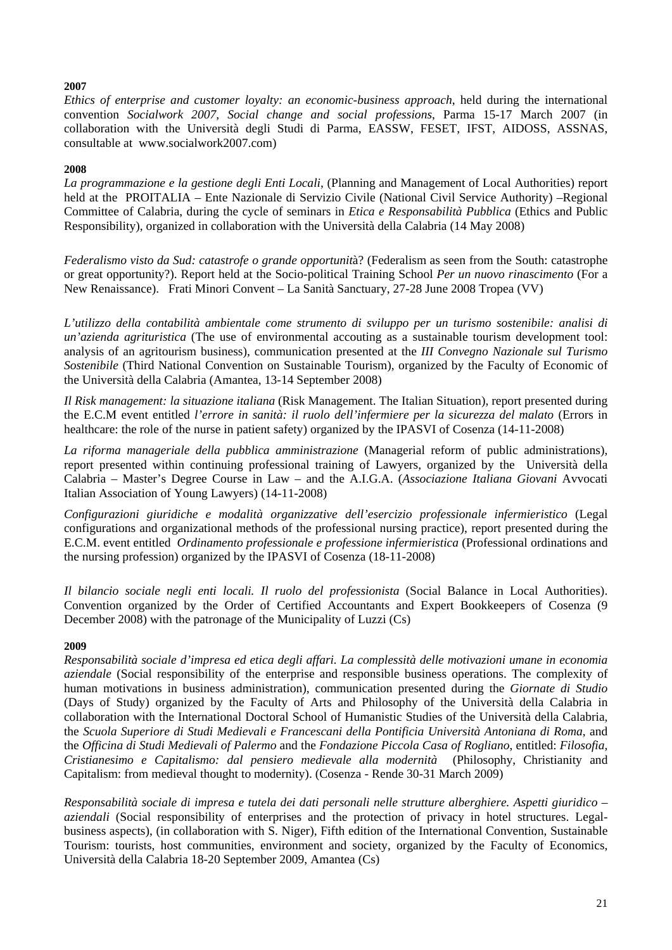# **2007**

*Ethics of enterprise and customer loyalty: an economic-business approach*, held during the international convention *Socialwork 2007*, *Social change and social professions*, Parma 15-17 March 2007 (in collaboration with the Università degli Studi di Parma, EASSW, FESET, IFST, AIDOSS, ASSNAS, consultable at www.socialwork2007.com)

# **2008**

*La programmazione e la gestione degli Enti Locali*, (Planning and Management of Local Authorities) report held at the PROITALIA – Ente Nazionale di Servizio Civile (National Civil Service Authority) –Regional Committee of Calabria, during the cycle of seminars in *Etica e Responsabilità Pubblica* (Ethics and Public Responsibility), organized in collaboration with the Università della Calabria (14 May 2008)

*Federalismo visto da Sud: catastrofe o grande opportunit*à? (Federalism as seen from the South: catastrophe or great opportunity?). Report held at the Socio-political Training School *Per un nuovo rinascimento* (For a New Renaissance). Frati Minori Convent – La Sanità Sanctuary, 27-28 June 2008 Tropea (VV)

*L'utilizzo della contabilità ambientale come strumento di sviluppo per un turismo sostenibile: analisi di un'azienda agrituristica* (The use of environmental accouting as a sustainable tourism development tool: analysis of an agritourism business), communication presented at the *III Convegno Nazionale sul Turismo Sostenibile* (Third National Convention on Sustainable Tourism), organized by the Faculty of Economic of the Università della Calabria (Amantea, 13-14 September 2008)

*Il Risk management: la situazione italiana* (Risk Management. The Italian Situation), report presented during the E.C.M event entitled *l'errore in sanità: il ruolo dell'infermiere per la sicurezza del malato* (Errors in healthcare: the role of the nurse in patient safety) organized by the IPASVI of Cosenza (14-11-2008)

*La riforma manageriale della pubblica amministrazione* (Managerial reform of public administrations), report presented within continuing professional training of Lawyers, organized by the Università della Calabria – Master's Degree Course in Law – and the A.I.G.A. (*Associazione Italiana Giovani* Avvocati Italian Association of Young Lawyers) (14-11-2008)

*Configurazioni giuridiche e modalità organizzative dell'esercizio professionale infermieristico* (Legal configurations and organizational methods of the professional nursing practice), report presented during the E.C.M. event entitled *Ordinamento professionale e professione infermieristica* (Professional ordinations and the nursing profession) organized by the IPASVI of Cosenza (18-11-2008)

*Il bilancio sociale negli enti locali. Il ruolo del professionista* (Social Balance in Local Authorities). Convention organized by the Order of Certified Accountants and Expert Bookkeepers of Cosenza (9 December 2008) with the patronage of the Municipality of Luzzi (Cs)

# **2009**

*Responsabilità sociale d'impresa ed etica degli affari. La complessità delle motivazioni umane in economia aziendale* (Social responsibility of the enterprise and responsible business operations. The complexity of human motivations in business administration), communication presented during the *Giornate di Studio*  (Days of Study) organized by the Faculty of Arts and Philosophy of the Università della Calabria in collaboration with the International Doctoral School of Humanistic Studies of the Università della Calabria, the *Scuola Superiore di Studi Medievali e Francescani della Pontificia Università Antoniana di Roma*, and the *Officina di Studi Medievali of Palermo* and the *Fondazione Piccola Casa of Rogliano*, entitled: *Filosofia, Cristianesimo e Capitalismo: dal pensiero medievale alla modernità* (Philosophy, Christianity and Capitalism: from medieval thought to modernity). (Cosenza - Rende 30-31 March 2009)

*Responsabilità sociale di impresa e tutela dei dati personali nelle strutture alberghiere. Aspetti giuridico – aziendali* (Social responsibility of enterprises and the protection of privacy in hotel structures. Legalbusiness aspects), (in collaboration with S. Niger), Fifth edition of the International Convention, Sustainable Tourism: tourists, host communities, environment and society, organized by the Faculty of Economics, Università della Calabria 18-20 September 2009, Amantea (Cs)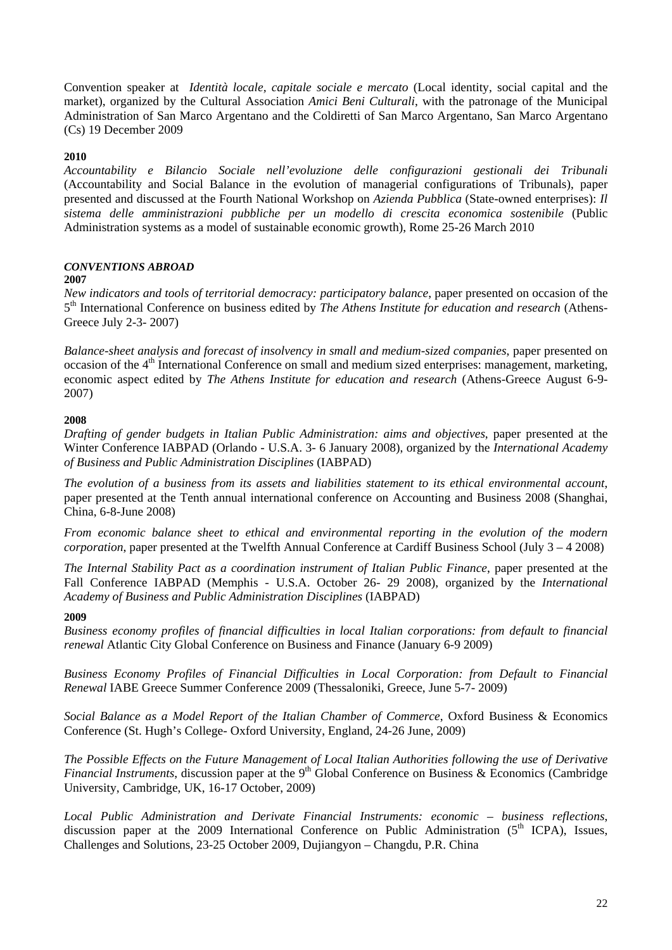Convention speaker at *Identità locale, capitale sociale e mercato* (Local identity, social capital and the market), organized by the Cultural Association *Amici Beni Culturali*, with the patronage of the Municipal Administration of San Marco Argentano and the Coldiretti of San Marco Argentano, San Marco Argentano (Cs) 19 December 2009

# **2010**

*Accountability e Bilancio Sociale nell'evoluzione delle configurazioni gestionali dei Tribunali* (Accountability and Social Balance in the evolution of managerial configurations of Tribunals), paper presented and discussed at the Fourth National Workshop on *Azienda Pubblica* (State-owned enterprises): *Il sistema delle amministrazioni pubbliche per un modello di crescita economica sostenibile* (Public Administration systems as a model of sustainable economic growth), Rome 25-26 March 2010

# *CONVENTIONS ABROAD*

# **2007**

*New indicators and tools of territorial democracy: participatory balance*, paper presented on occasion of the 5th International Conference on business edited by *The Athens Institute for education and research* (Athens-Greece July 2-3- 2007)

*Balance-sheet analysis and forecast of insolvency in small and medium-sized companies*, paper presented on occasion of the  $4<sup>th</sup>$  International Conference on small and medium sized enterprises: management, marketing, economic aspect edited by *The Athens Institute for education and research* (Athens-Greece August 6-9- 2007)

# **2008**

*Drafting of gender budgets in Italian Public Administration: aims and objectives*, paper presented at the Winter Conference IABPAD (Orlando - U.S.A. 3- 6 January 2008), organized by the *International Academy of Business and Public Administration Disciplines* (IABPAD)

*The evolution of a business from its assets and liabilities statement to its ethical environmental account*, paper presented at the Tenth annual international conference on Accounting and Business 2008 (Shanghai, China, 6-8-June 2008)

*From economic balance sheet to ethical and environmental reporting in the evolution of the modern corporation*, paper presented at the Twelfth Annual Conference at Cardiff Business School (July 3 – 4 2008)

*The Internal Stability Pact as a coordination instrument of Italian Public Finance*, paper presented at the Fall Conference IABPAD (Memphis - U.S.A. October 26- 29 2008), organized by the *International Academy of Business and Public Administration Disciplines* (IABPAD)

# **2009**

*Business economy profiles of financial difficulties in local Italian corporations: from default to financial renewal* Atlantic City Global Conference on Business and Finance (January 6-9 2009)

*Business Economy Profiles of Financial Difficulties in Local Corporation: from Default to Financial Renewal* IABE Greece Summer Conference 2009 (Thessaloniki, Greece, June 5-7- 2009)

*Social Balance as a Model Report of the Italian Chamber of Commerce*, Oxford Business & Economics Conference (St. Hugh's College- Oxford University, England, 24-26 June, 2009)

*The Possible Effects on the Future Management of Local Italian Authorities following the use of Derivative Financial Instruments*, discussion paper at the 9<sup>th</sup> Global Conference on Business & Economics (Cambridge) University, Cambridge, UK, 16-17 October, 2009)

*Local Public Administration and Derivate Financial Instruments: economic – business reflections*, discussion paper at the 2009 International Conference on Public Administration  $(5<sup>th</sup> ICPA)$ , Issues, Challenges and Solutions, 23-25 October 2009, Dujiangyon – Changdu, P.R. China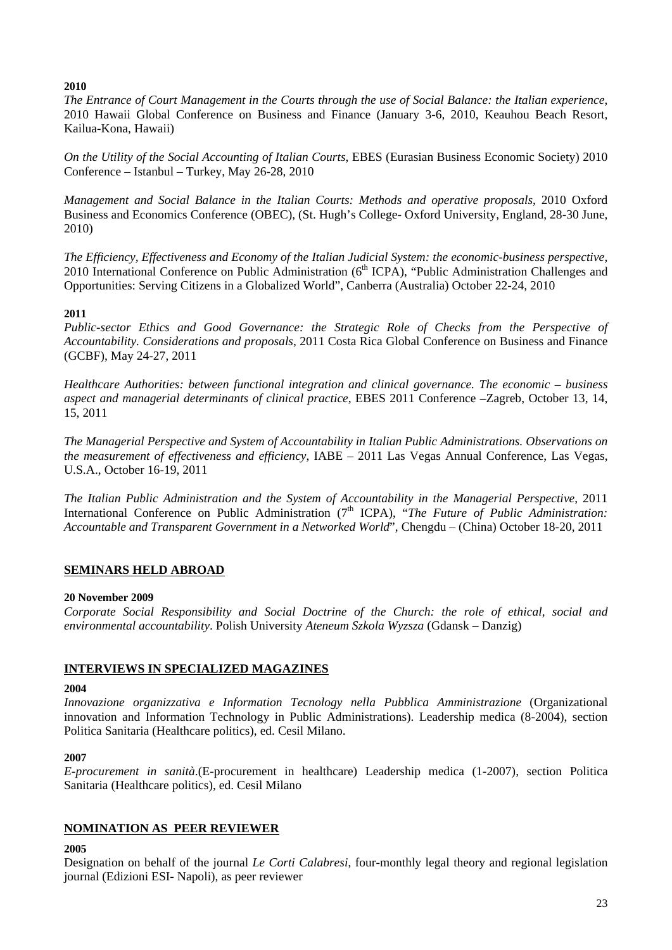# **2010**

*The Entrance of Court Management in the Courts through the use of Social Balance: the Italian experience*, 2010 Hawaii Global Conference on Business and Finance (January 3-6, 2010, Keauhou Beach Resort, Kailua-Kona, Hawaii)

*On the Utility of the Social Accounting of Italian Courts*, EBES (Eurasian Business Economic Society) 2010 Conference – Istanbul – Turkey, May 26-28, 2010

*Management and Social Balance in the Italian Courts: Methods and operative proposals*, 2010 Oxford Business and Economics Conference (OBEC), (St. Hugh's College- Oxford University, England, 28-30 June, 2010)

*The Efficiency, Effectiveness and Economy of the Italian Judicial System: the economic-business perspective*, 2010 International Conference on Public Administration ( $6<sup>th</sup> ICPA$ ), "Public Administration Challenges and Opportunities: Serving Citizens in a Globalized World", Canberra (Australia) October 22-24, 2010

# **2011**

*Public-sector Ethics and Good Governance: the Strategic Role of Checks from the Perspective of Accountability. Considerations and proposals*, 2011 Costa Rica Global Conference on Business and Finance (GCBF), May 24-27, 2011

*Healthcare Authorities: between functional integration and clinical governance. The economic – business aspect and managerial determinants of clinical practice*, EBES 2011 Conference –Zagreb, October 13, 14, 15, 2011

*The Managerial Perspective and System of Accountability in Italian Public Administrations. Observations on the measurement of effectiveness and efficiency*, IABE – 2011 Las Vegas Annual Conference, Las Vegas, U.S.A., October 16-19, 2011

*The Italian Public Administration and the System of Accountability in the Managerial Perspective*, 2011 International Conference on Public Administration (7<sup>th</sup> ICPA), "*The Future of Public Administration*: *Accountable and Transparent Government in a Networked World*", Chengdu – (China) October 18-20, 2011

# **SEMINARS HELD ABROAD**

# **20 November 2009**

*Corporate Social Responsibility and Social Doctrine of the Church: the role of ethical, social and environmental accountability*. Polish University *Ateneum Szkola Wyzsza* (Gdansk – Danzig)

# **INTERVIEWS IN SPECIALIZED MAGAZINES**

# **2004**

*Innovazione organizzativa e Information Tecnology nella Pubblica Amministrazione* (Organizational innovation and Information Technology in Public Administrations). Leadership medica (8-2004), section Politica Sanitaria (Healthcare politics), ed. Cesil Milano.

# **2007**

*E-procurement in sanità*.(E-procurement in healthcare) Leadership medica (1-2007), section Politica Sanitaria (Healthcare politics), ed. Cesil Milano

# **NOMINATION AS PEER REVIEWER**

# **2005**

Designation on behalf of the journal *Le Corti Calabresi*, four-monthly legal theory and regional legislation journal (Edizioni ESI- Napoli), as peer reviewer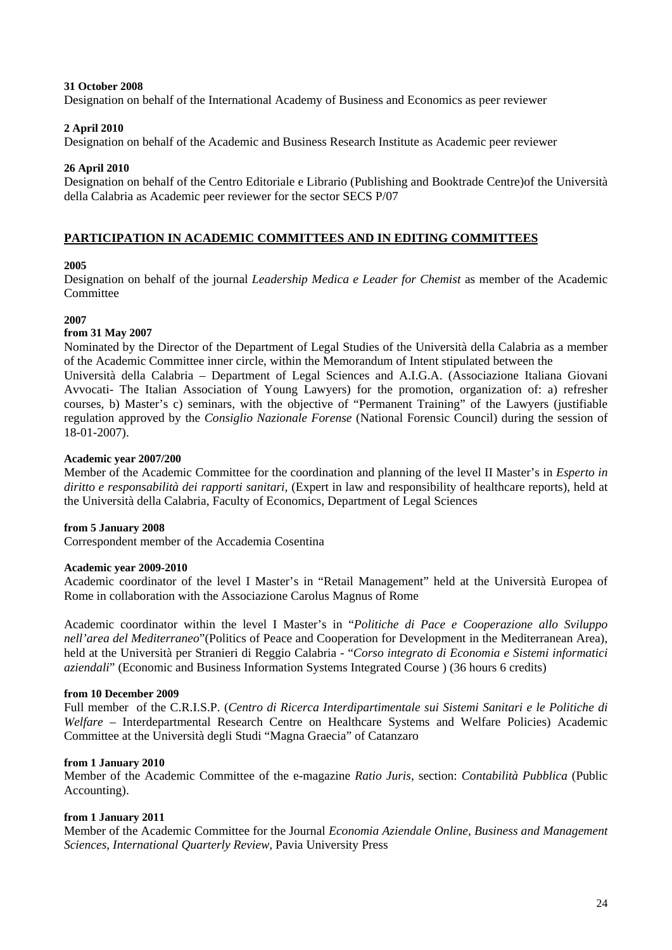### **31 October 2008**

Designation on behalf of the International Academy of Business and Economics as peer reviewer

# **2 April 2010**

Designation on behalf of the Academic and Business Research Institute as Academic peer reviewer

# **26 April 2010**

Designation on behalf of the Centro Editoriale e Librario (Publishing and Booktrade Centre)of the Università della Calabria as Academic peer reviewer for the sector SECS P/07

# **PARTICIPATION IN ACADEMIC COMMITTEES AND IN EDITING COMMITTEES**

# **2005**

Designation on behalf of the journal *Leadership Medica e Leader for Chemist* as member of the Academic **Committee** 

# **2007**

# **from 31 May 2007**

Nominated by the Director of the Department of Legal Studies of the Università della Calabria as a member of the Academic Committee inner circle, within the Memorandum of Intent stipulated between the

Università della Calabria – Department of Legal Sciences and A.I.G.A. (Associazione Italiana Giovani Avvocati- The Italian Association of Young Lawyers) for the promotion, organization of: a) refresher courses, b) Master's c) seminars, with the objective of "Permanent Training" of the Lawyers (justifiable regulation approved by the *Consiglio Nazionale Forense* (National Forensic Council) during the session of 18-01-2007).

# **Academic year 2007/200**

Member of the Academic Committee for the coordination and planning of the level II Master's in *Esperto in diritto e responsabilità dei rapporti sanitari*, (Expert in law and responsibility of healthcare reports), held at the Università della Calabria, Faculty of Economics, Department of Legal Sciences

# **from 5 January 2008**

Correspondent member of the Accademia Cosentina

#### **Academic year 2009-2010**

Academic coordinator of the level I Master's in "Retail Management" held at the Università Europea of Rome in collaboration with the Associazione Carolus Magnus of Rome

Academic coordinator within the level I Master's in "*Politiche di Pace e Cooperazione allo Sviluppo nell'area del Mediterraneo*"(Politics of Peace and Cooperation for Development in the Mediterranean Area), held at the Università per Stranieri di Reggio Calabria - "*Corso integrato di Economia e Sistemi informatici aziendali*" (Economic and Business Information Systems Integrated Course ) (36 hours 6 credits)

#### **from 10 December 2009**

Full member of the C.R.I.S.P. (*Centro di Ricerca Interdipartimentale sui Sistemi Sanitari e le Politiche di Welfare* – Interdepartmental Research Centre on Healthcare Systems and Welfare Policies) Academic Committee at the Università degli Studi "Magna Graecia" of Catanzaro

# **from 1 January 2010**

Member of the Academic Committee of the e-magazine *Ratio Juris*, section: *Contabilità Pubblica* (Public Accounting).

# **from 1 January 2011**

Member of the Academic Committee for the Journal *Economia Aziendale Online, Business and Management Sciences, International Quarterly Review,* Pavia University Press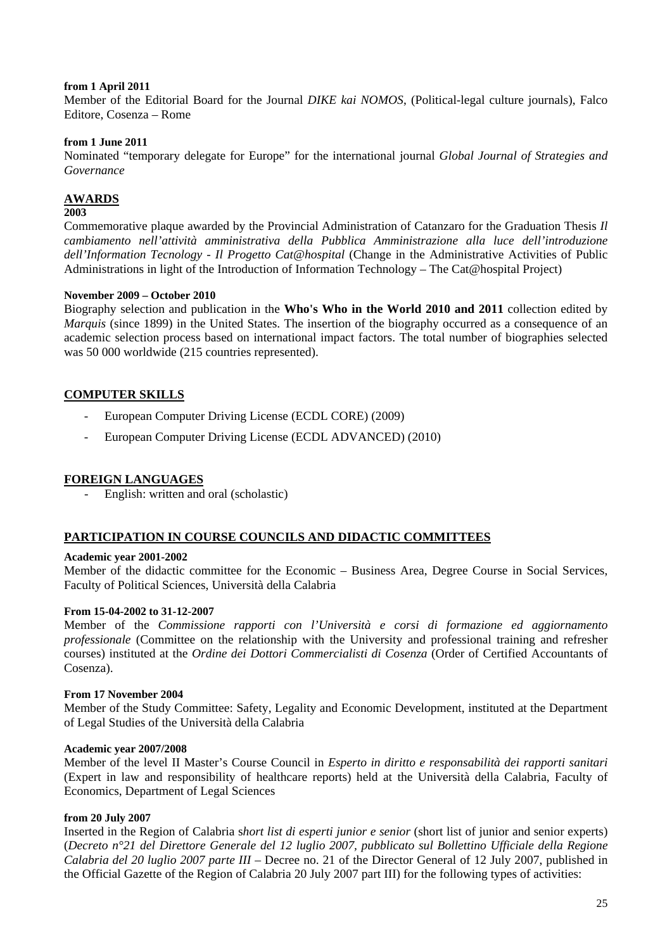### **from 1 April 2011**

Member of the Editorial Board for the Journal *DIKE kai NOMOS*, (Political-legal culture journals), Falco Editore, Cosenza – Rome

### **from 1 June 2011**

Nominated "temporary delegate for Europe" for the international journal *Global Journal of Strategies and Governance* 

# **AWARDS**

#### **2003**

Commemorative plaque awarded by the Provincial Administration of Catanzaro for the Graduation Thesis *Il cambiamento nell'attività amministrativa della Pubblica Amministrazione alla luce dell'introduzione dell'Information Tecnology - Il Progetto Cat@hospital* (Change in the Administrative Activities of Public Administrations in light of the Introduction of Information Technology – The Cat@hospital Project)

### **November 2009 – October 2010**

Biography selection and publication in the **Who's Who in the World 2010 and 2011** collection edited by *Marquis* (since 1899) in the United States. The insertion of the biography occurred as a consequence of an academic selection process based on international impact factors. The total number of biographies selected was 50 000 worldwide (215 countries represented).

# **COMPUTER SKILLS**

- European Computer Driving License (ECDL CORE) (2009)
- European Computer Driving License (ECDL ADVANCED) (2010)

# **FOREIGN LANGUAGES**

English: written and oral (scholastic)

# **PARTICIPATION IN COURSE COUNCILS AND DIDACTIC COMMITTEES**

# **Academic year 2001-2002**

Member of the didactic committee for the Economic – Business Area, Degree Course in Social Services, Faculty of Political Sciences, Università della Calabria

# **From 15-04-2002 to 31-12-2007**

Member of the *Commissione rapporti con l'Università e corsi di formazione ed aggiornamento professionale* (Committee on the relationship with the University and professional training and refresher courses) instituted at the *Ordine dei Dottori Commercialisti di Cosenza* (Order of Certified Accountants of Cosenza).

# **From 17 November 2004**

Member of the Study Committee: Safety, Legality and Economic Development, instituted at the Department of Legal Studies of the Università della Calabria

#### **Academic year 2007/2008**

Member of the level II Master's Course Council in *Esperto in diritto e responsabilità dei rapporti sanitari* (Expert in law and responsibility of healthcare reports) held at the Università della Calabria, Faculty of Economics, Department of Legal Sciences

### **from 20 July 2007**

Inserted in the Region of Calabria s*hort list di esperti junior e senior* (short list of junior and senior experts) (*Decreto n°21 del Direttore Generale del 12 luglio 2007, pubblicato sul Bollettino Ufficiale della Regione Calabria del 20 luglio 2007 parte III* – Decree no. 21 of the Director General of 12 July 2007, published in the Official Gazette of the Region of Calabria 20 July 2007 part III) for the following types of activities: